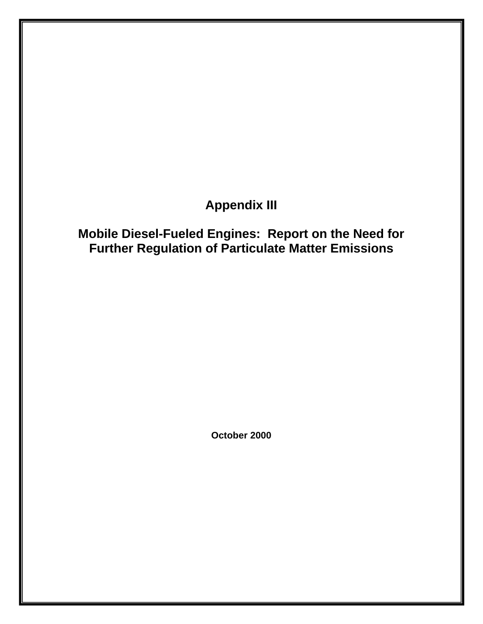# **Appendix III**

# **Mobile Diesel-Fueled Engines: Report on the Need for Further Regulation of Particulate Matter Emissions**

**October 2000**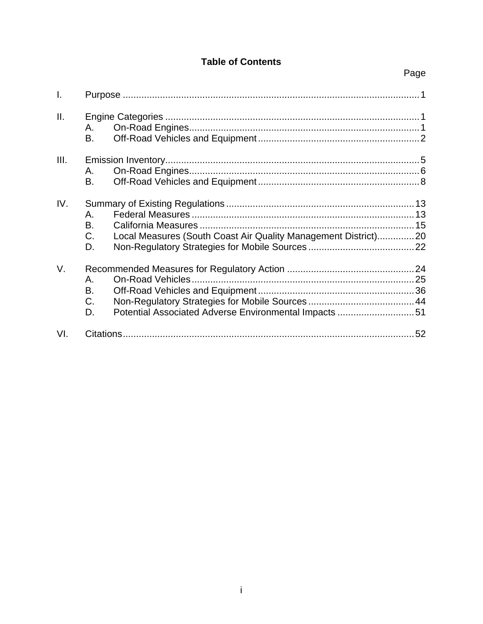# **Table of Contents**

| I.   |                                                                                                    |
|------|----------------------------------------------------------------------------------------------------|
| ΙΙ.  | А.<br>В.                                                                                           |
| III. | А.<br>В.                                                                                           |
| IV.  | А.<br>В.<br>Local Measures (South Coast Air Quality Management District)20<br>C.<br>D.             |
| V.   | On-Road Vehicles.<br>А.<br>В.<br>C.<br>Potential Associated Adverse Environmental Impacts 51<br>D. |
| VI.  |                                                                                                    |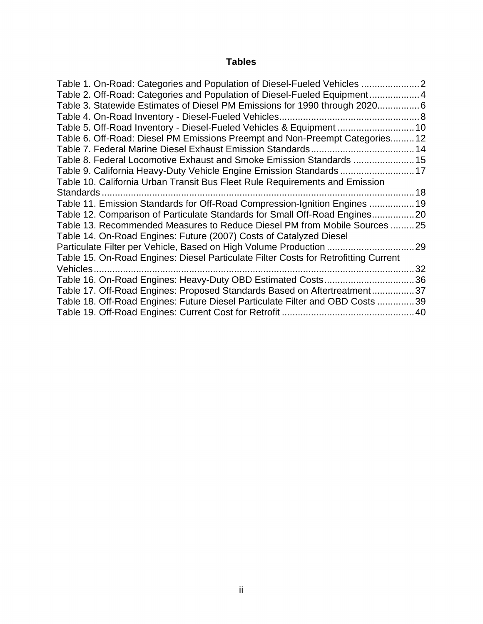# **Tables**

| Table 1. On-Road: Categories and Population of Diesel-Fueled Vehicles               |    |
|-------------------------------------------------------------------------------------|----|
| Table 2. Off-Road: Categories and Population of Diesel-Fueled Equipment4            |    |
| Table 3. Statewide Estimates of Diesel PM Emissions for 1990 through 20206          |    |
|                                                                                     |    |
| Table 5. Off-Road Inventory - Diesel-Fueled Vehicles & Equipment  10                |    |
| Table 6. Off-Road: Diesel PM Emissions Preempt and Non-Preempt Categories 12        |    |
|                                                                                     |    |
| Table 8. Federal Locomotive Exhaust and Smoke Emission Standards  15                |    |
| Table 9. California Heavy-Duty Vehicle Engine Emission Standards  17                |    |
| Table 10. California Urban Transit Bus Fleet Rule Requirements and Emission         |    |
| Standards                                                                           |    |
| Table 11. Emission Standards for Off-Road Compression-Ignition Engines  19          |    |
| Table 12. Comparison of Particulate Standards for Small Off-Road Engines20          |    |
| Table 13. Recommended Measures to Reduce Diesel PM from Mobile Sources 25           |    |
| Table 14. On-Road Engines: Future (2007) Costs of Catalyzed Diesel                  |    |
| Particulate Filter per Vehicle, Based on High Volume Production                     | 29 |
| Table 15. On-Road Engines: Diesel Particulate Filter Costs for Retrofitting Current |    |
|                                                                                     | 32 |
| Table 16. On-Road Engines: Heavy-Duty OBD Estimated Costs36                         |    |
| Table 17. Off-Road Engines: Proposed Standards Based on Aftertreatment37            |    |
| Table 18. Off-Road Engines: Future Diesel Particulate Filter and OBD Costs 39       |    |
|                                                                                     |    |
|                                                                                     |    |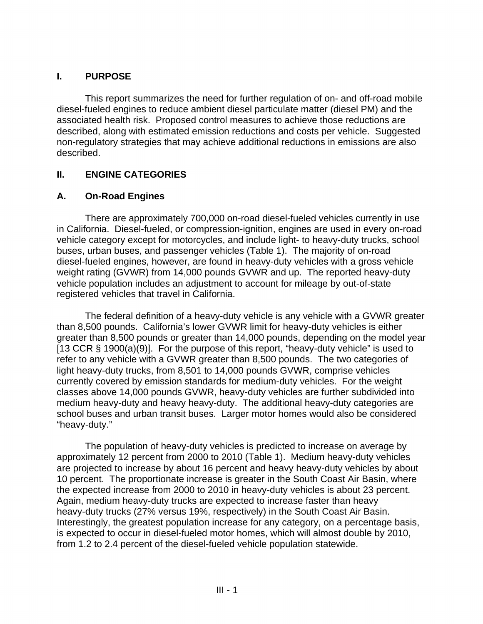# **I. PURPOSE**

This report summarizes the need for further regulation of on- and off-road mobile diesel-fueled engines to reduce ambient diesel particulate matter (diesel PM) and the associated health risk. Proposed control measures to achieve those reductions are described, along with estimated emission reductions and costs per vehicle. Suggested non-regulatory strategies that may achieve additional reductions in emissions are also described.

# **II. ENGINE CATEGORIES**

# **A. On-Road Engines**

There are approximately 700,000 on-road diesel-fueled vehicles currently in use in California. Diesel-fueled, or compression-ignition, engines are used in every on-road vehicle category except for motorcycles, and include light- to heavy-duty trucks, school buses, urban buses, and passenger vehicles (Table 1). The majority of on-road diesel-fueled engines, however, are found in heavy-duty vehicles with a gross vehicle weight rating (GVWR) from 14,000 pounds GVWR and up. The reported heavy-duty vehicle population includes an adjustment to account for mileage by out-of-state registered vehicles that travel in California.

The federal definition of a heavy-duty vehicle is any vehicle with a GVWR greater than 8,500 pounds. California's lower GVWR limit for heavy-duty vehicles is either greater than 8,500 pounds or greater than 14,000 pounds, depending on the model year [13 CCR § 1900(a)(9)]. For the purpose of this report, "heavy-duty vehicle" is used to refer to any vehicle with a GVWR greater than 8,500 pounds. The two categories of light heavy-duty trucks, from 8,501 to 14,000 pounds GVWR, comprise vehicles currently covered by emission standards for medium-duty vehicles. For the weight classes above 14,000 pounds GVWR, heavy-duty vehicles are further subdivided into medium heavy-duty and heavy heavy-duty. The additional heavy-duty categories are school buses and urban transit buses. Larger motor homes would also be considered "heavy-duty."

The population of heavy-duty vehicles is predicted to increase on average by approximately 12 percent from 2000 to 2010 (Table 1). Medium heavy-duty vehicles are projected to increase by about 16 percent and heavy heavy-duty vehicles by about 10 percent. The proportionate increase is greater in the South Coast Air Basin, where the expected increase from 2000 to 2010 in heavy-duty vehicles is about 23 percent. Again, medium heavy-duty trucks are expected to increase faster than heavy heavy-duty trucks (27% versus 19%, respectively) in the South Coast Air Basin. Interestingly, the greatest population increase for any category, on a percentage basis, is expected to occur in diesel-fueled motor homes, which will almost double by 2010, from 1.2 to 2.4 percent of the diesel-fueled vehicle population statewide.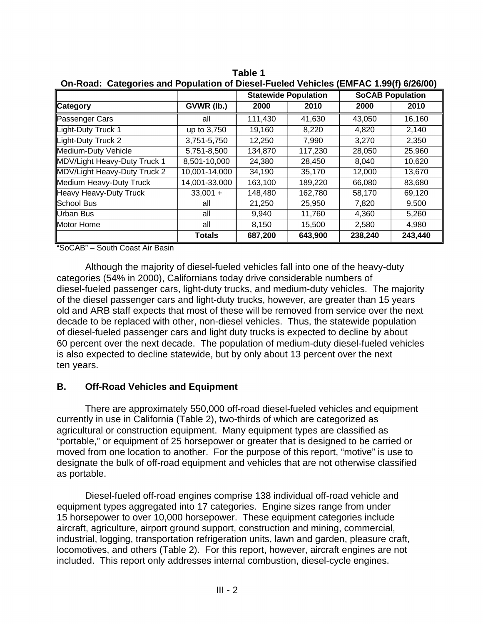|                              |               | <b>Statewide Population</b><br><b>SoCAB Population</b> |         |         |         |  |
|------------------------------|---------------|--------------------------------------------------------|---------|---------|---------|--|
| ∥Category                    | GVWR (lb.)    | 2000                                                   | 2010    | 2000    | 2010    |  |
| Passenger Cars               | all           | 111,430                                                | 41,630  | 43,050  | 16,160  |  |
| Light-Duty Truck 1           | up to 3,750   | 19,160                                                 | 8,220   | 4,820   | 2,140   |  |
| Light-Duty Truck 2           | 3,751-5,750   | 12,250                                                 | 7,990   | 3,270   | 2,350   |  |
| Medium-Duty Vehicle          | 5,751-8,500   | 134,870                                                | 117,230 | 28,050  | 25,960  |  |
| MDV/Light Heavy-Duty Truck 1 | 8,501-10,000  | 24,380                                                 | 28,450  | 8,040   | 10,620  |  |
| MDV/Light Heavy-Duty Truck 2 | 10,001-14,000 | 34,190                                                 | 35,170  | 12,000  | 13,670  |  |
| Medium Heavy-Duty Truck      | 14,001-33,000 | 163,100                                                | 189,220 | 66,080  | 83,680  |  |
| Heavy Heavy-Duty Truck       | $33,001 +$    | 148,480                                                | 162,780 | 58,170  | 69,120  |  |
| School Bus                   | all           | 21,250                                                 | 25,950  | 7,820   | 9,500   |  |
| Urban Bus                    | all           | 9,940                                                  | 11,760  | 4,360   | 5,260   |  |
| Motor Home                   | all           | 8,150                                                  | 15,500  | 2,580   | 4,980   |  |
|                              | <b>Totals</b> | 687,200                                                | 643,900 | 238,240 | 243,440 |  |

**Table 1**<br>**CDiscol** Fu **On-Road: Categories and Population of Diesel-Fueled Vehicles (EMFAC 1.99(f) 6/26/00)** 

"SoCAB" – South Coast Air Basin

Although the majority of diesel-fueled vehicles fall into one of the heavy-duty categories (54% in 2000), Californians today drive considerable numbers of diesel-fueled passenger cars, light-duty trucks, and medium-duty vehicles. The majority of the diesel passenger cars and light-duty trucks, however, are greater than 15 years old and ARB staff expects that most of these will be removed from service over the next decade to be replaced with other, non-diesel vehicles. Thus, the statewide population of diesel-fueled passenger cars and light duty trucks is expected to decline by about 60 percent over the next decade. The population of medium-duty diesel-fueled vehicles is also expected to decline statewide, but by only about 13 percent over the next ten years.

#### **B. Off-Road Vehicles and Equipment**

There are approximately 550,000 off-road diesel-fueled vehicles and equipment currently in use in California (Table 2), two-thirds of which are categorized as agricultural or construction equipment. Many equipment types are classified as "portable," or equipment of 25 horsepower or greater that is designed to be carried or moved from one location to another. For the purpose of this report, "motive" is use to designate the bulk of off-road equipment and vehicles that are not otherwise classified as portable.

Diesel-fueled off-road engines comprise 138 individual off-road vehicle and equipment types aggregated into 17 categories. Engine sizes range from under 15 horsepower to over 10,000 horsepower. These equipment categories include aircraft, agriculture, airport ground support, construction and mining, commercial, industrial, logging, transportation refrigeration units, lawn and garden, pleasure craft, locomotives, and others (Table 2). For this report, however, aircraft engines are not included. This report only addresses internal combustion, diesel-cycle engines.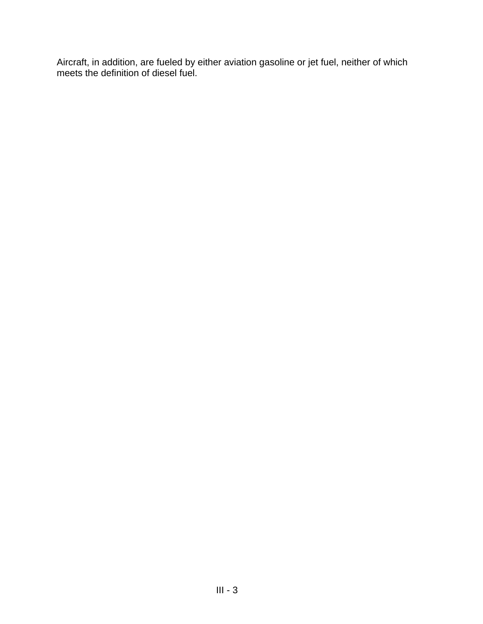Aircraft, in addition, are fueled by either aviation gasoline or jet fuel, neither of which meets the definition of diesel fuel.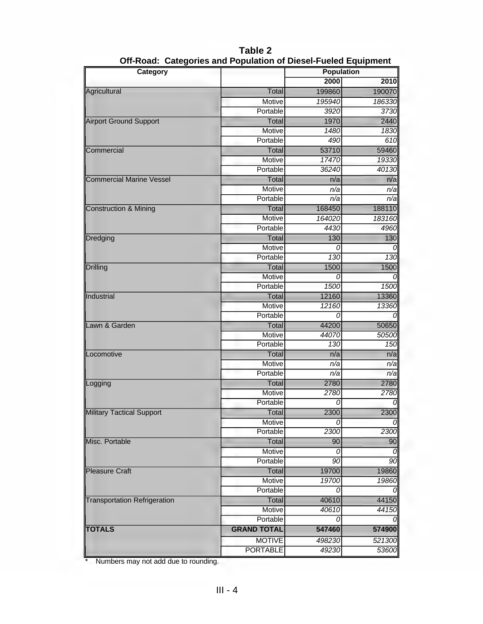| Category                            |                    | <b>Population</b> |              |  |
|-------------------------------------|--------------------|-------------------|--------------|--|
|                                     |                    | 2000              | 2010         |  |
| Agricultural                        | Total              | 199860            | 190070       |  |
|                                     | Motive             | 195940            | 186330       |  |
|                                     | Portable           | 3920              | 3730         |  |
| <b>Airport Ground Support</b>       | Total              | 1970              | 2440         |  |
|                                     | Motive             | 1480              | 1830         |  |
|                                     | Portable           | 490               | 610          |  |
| Commercial                          | Total              | 53710             | 59460        |  |
|                                     | Motive             | 17470             | 19330        |  |
|                                     | Portable           | 36240             | 40130        |  |
| <b>Commercial Marine Vessel</b>     | Total              | n/a               | n/a          |  |
|                                     | Motive             | n/a               | n/a          |  |
|                                     | Portable           | n/a               | n/a          |  |
| <b>Construction &amp; Mining</b>    | Total              | 168450            | 188110       |  |
|                                     | Motive             | 164020            | 183160       |  |
|                                     | Portable           | 4430              | 4960         |  |
| Dredging                            | Total              | 130               | 130          |  |
|                                     | Motive             | Ω                 |              |  |
|                                     | Portable           | 130               | 130          |  |
| <b>Drilling</b>                     | Total              | 1500              | 1500         |  |
|                                     | Motive             | 0                 |              |  |
|                                     | Portable           | 1500              |              |  |
|                                     |                    |                   | 1500         |  |
| Industrial                          | Total              | 12160             | 13360        |  |
|                                     | <b>Motive</b>      | 12160             | 13360        |  |
|                                     | Portable           | 0                 |              |  |
| Lawn & Garden                       | Total              | 44200             | 50650        |  |
|                                     | Motive             | 44070             | 50500        |  |
|                                     | Portable           | 130               | 150          |  |
| Locomotive                          | Total              | n/a               | n/a          |  |
|                                     | Motive             | n/a               | n/a          |  |
|                                     | Portable           | n/a               | n/a          |  |
| Logging                             | <b>Total</b>       | 2780              | 2780         |  |
|                                     | Motive             | 2780              | 2780         |  |
|                                     | Portable           | 0                 |              |  |
| Military Tactical Support           | <b>Total</b>       | 2300              | 2300         |  |
|                                     | Motive             | 0                 |              |  |
|                                     | Portable           | 2300              | 2300         |  |
| Misc. Portable                      | Total              | 90                | 90           |  |
|                                     | Motive             | 0                 |              |  |
|                                     | Portable           | 90                | 90           |  |
| <b>Pleasure Craft</b>               | Total              | 19700             | 19860        |  |
|                                     | <b>Motive</b>      | 19700             | <b>19860</b> |  |
|                                     | Portable           |                   |              |  |
| <b>Transportation Refrigeration</b> | Total              | 40610             | 44150        |  |
|                                     | Motive             | 40610             | 44150        |  |
|                                     | Portable           |                   |              |  |
| <b>TOTALS</b>                       | <b>GRAND TOTAL</b> | 547460            | 574900       |  |
|                                     | <b>MOTIVE</b>      | 498230            | 521300       |  |
|                                     | <b>PORTABLE</b>    | 49230             | 53600        |  |
|                                     |                    |                   |              |  |

**Table 2 Off-Road: Categories and Population of Diesel-Fueled Equipment** 

\* Numbers may not add due to rounding.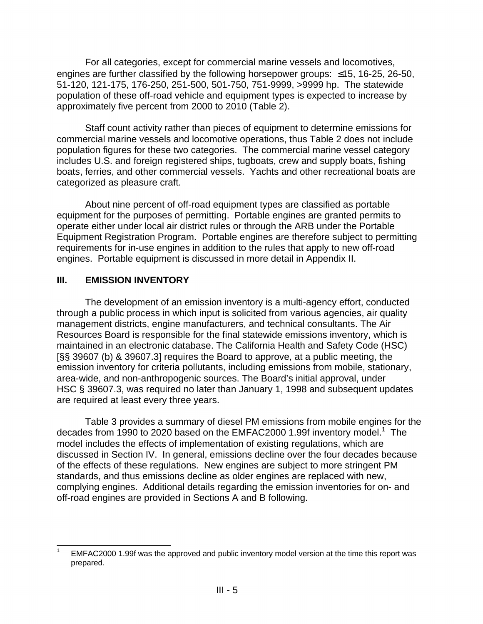For all categories, except for commercial marine vessels and locomotives, engines are further classified by the following horsepower groups:  $\leq$ 15, 16-25, 26-50, 51-120, 121-175, 176-250, 251-500, 501-750, 751-9999, >9999 hp. The statewide population of these off-road vehicle and equipment types is expected to increase by approximately five percent from 2000 to 2010 (Table 2).

Staff count activity rather than pieces of equipment to determine emissions for commercial marine vessels and locomotive operations, thus Table 2 does not include population figures for these two categories. The commercial marine vessel category includes U.S. and foreign registered ships, tugboats, crew and supply boats, fishing boats, ferries, and other commercial vessels. Yachts and other recreational boats are categorized as pleasure craft.

About nine percent of off-road equipment types are classified as portable equipment for the purposes of permitting. Portable engines are granted permits to operate either under local air district rules or through the ARB under the Portable Equipment Registration Program. Portable engines are therefore subject to permitting requirements for in-use engines in addition to the rules that apply to new off-road engines. Portable equipment is discussed in more detail in Appendix II.

# **III. EMISSION INVENTORY**

The development of an emission inventory is a multi-agency effort, conducted through a public process in which input is solicited from various agencies, air quality management districts, engine manufacturers, and technical consultants. The Air Resources Board is responsible for the final statewide emissions inventory, which is maintained in an electronic database. The California Health and Safety Code (HSC) [§§ 39607 (b) & 39607.3] requires the Board to approve, at a public meeting, the emission inventory for criteria pollutants, including emissions from mobile, stationary, area-wide, and non-anthropogenic sources. The Board's initial approval, under HSC § 39607.3, was required no later than January 1, 1998 and subsequent updates are required at least every three years.

Table 3 provides a summary of diesel PM emissions from mobile engines for the decades from 1990 to 2020 based on the EMFAC2000 1.99f inventory model.<sup>1</sup> The model includes the effects of implementation of existing regulations, which are discussed in Section IV. In general, emissions decline over the four decades because of the effects of these regulations. New engines are subject to more stringent PM standards, and thus emissions decline as older engines are replaced with new, complying engines. Additional details regarding the emission inventories for on- and off-road engines are provided in Sections A and B following.

 $\overline{\phantom{a}}$ EMFAC2000 1.99f was the approved and public inventory model version at the time this report was prepared. 1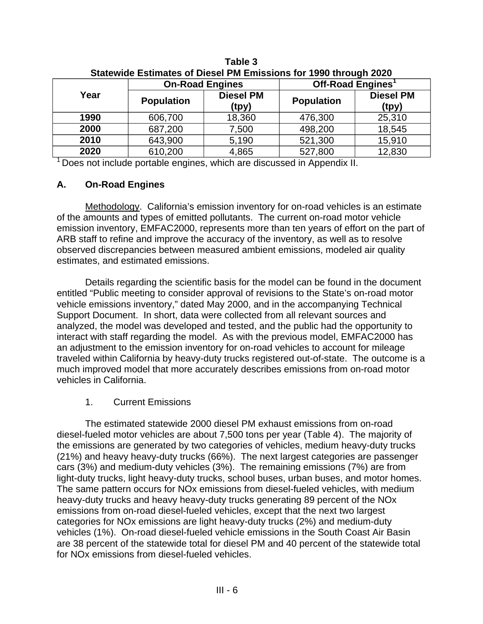| <b>Statewige Estimates of Diesel Fivi Emissions for 1990 uniough 2020</b> |                   |                           |                               |                           |  |  |  |  |
|---------------------------------------------------------------------------|-------------------|---------------------------|-------------------------------|---------------------------|--|--|--|--|
|                                                                           |                   | <b>On-Road Engines</b>    | Off-Road Engines <sup>1</sup> |                           |  |  |  |  |
| Year                                                                      | <b>Population</b> | <b>Diesel PM</b><br>(tpy) | <b>Population</b>             | <b>Diesel PM</b><br>(tpy) |  |  |  |  |
| 1990                                                                      | 606,700           | 18,360                    | 476,300                       | 25,310                    |  |  |  |  |
| 2000                                                                      | 687,200           | 7,500                     | 498,200                       | 18,545                    |  |  |  |  |
| 2010                                                                      | 643,900           | 5,190                     | 521,300                       | 15,910                    |  |  |  |  |
| 2020                                                                      | 610,200           | 4,865                     | 527,800                       | 12,830                    |  |  |  |  |

**Table 3 Statewide Estimates of Diesel PM Emissions for 1990 through 2020** 

 $1$  Does not include portable engines, which are discussed in Appendix II.

#### **A. On-Road Engines**

Methodology. California's emission inventory for on-road vehicles is an estimate of the amounts and types of emitted pollutants. The current on-road motor vehicle emission inventory, EMFAC2000, represents more than ten years of effort on the part of ARB staff to refine and improve the accuracy of the inventory, as well as to resolve observed discrepancies between measured ambient emissions, modeled air quality estimates, and estimated emissions.

Details regarding the scientific basis for the model can be found in the document entitled "Public meeting to consider approval of revisions to the State's on-road motor vehicle emissions inventory," dated May 2000, and in the accompanying Technical Support Document. In short, data were collected from all relevant sources and analyzed, the model was developed and tested, and the public had the opportunity to interact with staff regarding the model. As with the previous model, EMFAC2000 has an adjustment to the emission inventory for on-road vehicles to account for mileage traveled within California by heavy-duty trucks registered out-of-state. The outcome is a much improved model that more accurately describes emissions from on-road motor vehicles in California.

#### 1. Current Emissions

The estimated statewide 2000 diesel PM exhaust emissions from on-road diesel-fueled motor vehicles are about 7,500 tons per year (Table 4). The majority of the emissions are generated by two categories of vehicles, medium heavy-duty trucks (21%) and heavy heavy-duty trucks (66%). The next largest categories are passenger cars (3%) and medium-duty vehicles (3%). The remaining emissions (7%) are from light-duty trucks, light heavy-duty trucks, school buses, urban buses, and motor homes. The same pattern occurs for NOx emissions from diesel-fueled vehicles, with medium heavy-duty trucks and heavy heavy-duty trucks generating 89 percent of the NOx emissions from on-road diesel-fueled vehicles, except that the next two largest categories for NOx emissions are light heavy-duty trucks (2%) and medium-duty vehicles (1%). On-road diesel-fueled vehicle emissions in the South Coast Air Basin are 38 percent of the statewide total for diesel PM and 40 percent of the statewide total for NOx emissions from diesel-fueled vehicles.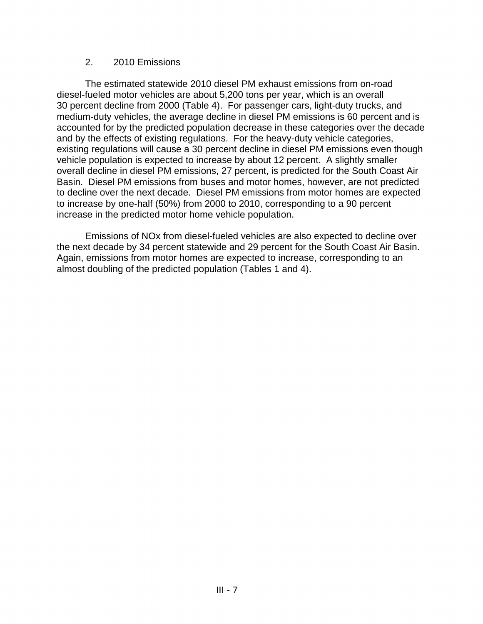#### 2. 2010 Emissions

The estimated statewide 2010 diesel PM exhaust emissions from on-road diesel-fueled motor vehicles are about 5,200 tons per year, which is an overall 30 percent decline from 2000 (Table 4). For passenger cars, light-duty trucks, and medium-duty vehicles, the average decline in diesel PM emissions is 60 percent and is accounted for by the predicted population decrease in these categories over the decade and by the effects of existing regulations. For the heavy-duty vehicle categories, existing regulations will cause a 30 percent decline in diesel PM emissions even though vehicle population is expected to increase by about 12 percent. A slightly smaller overall decline in diesel PM emissions, 27 percent, is predicted for the South Coast Air Basin. Diesel PM emissions from buses and motor homes, however, are not predicted to decline over the next decade. Diesel PM emissions from motor homes are expected to increase by one-half (50%) from 2000 to 2010, corresponding to a 90 percent increase in the predicted motor home vehicle population.

Emissions of NOx from diesel-fueled vehicles are also expected to decline over the next decade by 34 percent statewide and 29 percent for the South Coast Air Basin. Again, emissions from motor homes are expected to increase, corresponding to an almost doubling of the predicted population (Tables 1 and 4).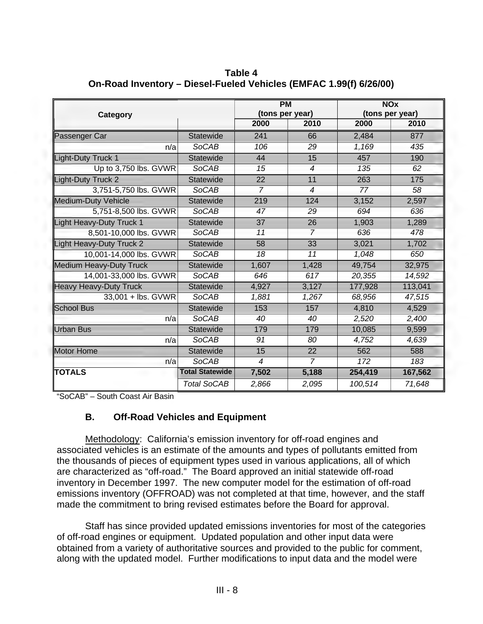| Category                       |                        | <b>PM</b><br>(tons per year) |                |         | <b>NOx</b><br>(tons per year) |
|--------------------------------|------------------------|------------------------------|----------------|---------|-------------------------------|
|                                |                        | 2000                         | 2010           | 2000    | 2010                          |
| Passenger Car                  | <b>Statewide</b>       | 241                          | 66             | 2,484   | 877                           |
| n/a                            | <b>SoCAB</b>           | 106                          | 29             | 1,169   | 435                           |
| Light-Duty Truck 1             | Statewide              | 44                           | 15             | 457     | 190                           |
| Up to 3,750 lbs. GVWR          | <b>SoCAB</b>           | 15                           | $\overline{4}$ | 135     | 62                            |
| Light-Duty Truck 2             | Statewide              | 22                           | 11             | 263     | 175                           |
| 3,751-5,750 lbs. GVWR          | <b>SoCAB</b>           | $\overline{7}$               | $\overline{4}$ | 77      | 58                            |
| Medium-Duty Vehicle            | Statewide              | 219                          | 124            | 3,152   | 2,597                         |
| 5,751-8,500 lbs. GVWR          | <b>SoCAB</b>           | 47                           | 29             | 694     | 636                           |
| Light Heavy-Duty Truck 1       | Statewide              | 37                           | 26             | 1,903   | 1,289                         |
| 8,501-10,000 lbs. GVWR         | <b>SoCAB</b>           | 11                           | $\overline{7}$ | 636     | 478                           |
| Light Heavy-Duty Truck 2       | <b>Statewide</b>       | 58                           | 33             | 3,021   | 1,702                         |
| 10,001-14,000 lbs. GVWR        | <b>SoCAB</b>           | 18                           | 11             | 1,048   | 650                           |
| <b>Medium Heavy-Duty Truck</b> | Statewide              | 1,607                        | 1,428          | 49,754  | 32,975                        |
| 14,001-33,000 lbs. GVWR        | <b>SoCAB</b>           | 646                          | 617            | 20,355  | 14,592                        |
| Heavy Heavy-Duty Truck         | Statewide              | 4,927                        | 3,127          | 177,928 | 113,041                       |
| 33,001 + lbs. GVWR             | <b>SoCAB</b>           | 1,881                        | 1,267          | 68,956  | 47,515                        |
| School Bus                     | Statewide              | 153                          | 157            | 4,810   | 4,529                         |
| n/a                            | <b>SoCAB</b>           | 40                           | 40             | 2,520   | 2,400                         |
| Urban Bus                      | <b>Statewide</b>       | 179                          | 179            | 10,085  | 9,599                         |
| n/a                            | <b>SoCAB</b>           | 91                           | 80             | 4,752   | 4,639                         |
| Motor Home                     | <b>Statewide</b>       | 15                           | 22             | 562     | 588                           |
| n/a                            | <b>SoCAB</b>           | $\overline{4}$               | $\overline{7}$ | 172     | 183                           |
| <b>TOTALS</b>                  | <b>Total Statewide</b> | 7,502                        | 5,188          | 254,419 | 167,562                       |
|                                | <b>Total SoCAB</b>     | 2,866                        | 2,095          | 100,514 | 71,648                        |

**Table 4 On-Road Inventory – Diesel-Fueled Vehicles (EMFAC 1.99(f) 6/26/00)** 

"SoCAB" – South Coast Air Basin

# **B. Off-Road Vehicles and Equipment**

Methodology: California's emission inventory for off-road engines and associated vehicles is an estimate of the amounts and types of pollutants emitted from the thousands of pieces of equipment types used in various applications, all of which are characterized as "off-road." The Board approved an initial statewide off-road inventory in December 1997. The new computer model for the estimation of off-road emissions inventory (OFFROAD) was not completed at that time, however, and the staff made the commitment to bring revised estimates before the Board for approval.

Staff has since provided updated emissions inventories for most of the categories of off-road engines or equipment. Updated population and other input data were obtained from a variety of authoritative sources and provided to the public for comment, along with the updated model. Further modifications to input data and the model were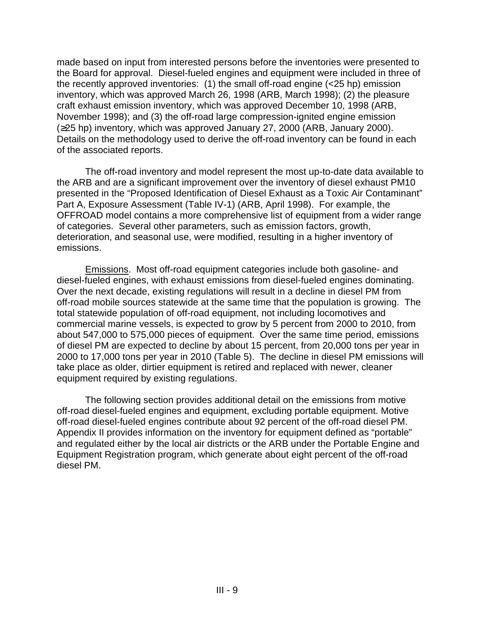made based on input from interested persons before the inventories were presented to the Board for approval. Diesel-fueled engines and equipment were included in three of the recently approved inventories: (1) the small off-road engine (<25 hp) emission inventory, which was approved March 26, 1998 (ARB, March 1998); (2) the pleasure craft exhaust emission inventory, which was approved December 10, 1998 (ARB, November 1998); and (3) the off-road large compression-ignited engine emission  $(225$  hp) inventory, which was approved January 27, 2000 (ARB, January 2000). Details on the methodology used to derive the off-road inventory can be found in each of the associated reports.

The off-road inventory and model represent the most up-to-date data available to the ARB and are a significant improvement over the inventory of diesel exhaust PM10 presented in the "Proposed Identification of Diesel Exhaust as a Toxic Air Contaminant" Part A, Exposure Assessment (Table IV-1) (ARB, April 1998). For example, the OFFROAD model contains a more comprehensive list of equipment from a wider range of categories. Several other parameters, such as emission factors, growth, deterioration, and seasonal use, were modified, resulting in a higher inventory of emissions.

Emissions. Most off-road equipment categories include both gasoline- and diesel-fueled engines, with exhaust emissions from diesel-fueled engines dominating. Over the next decade, existing regulations will result in a decline in diesel PM from off-road mobile sources statewide at the same time that the population is growing. The total statewide population of off-road equipment, not including locomotives and commercial marine vessels, is expected to grow by 5 percent from 2000 to 2010, from about 547,000 to 575,000 pieces of equipment. Over the same time period, emissions of diesel PM are expected to decline by about 15 percent, from 20,000 tons per year in 2000 to 17,000 tons per year in 2010 (Table 5). The decline in diesel PM emissions will take place as older, dirtier equipment is retired and replaced with newer, cleaner equipment required by existing regulations.

The following section provides additional detail on the emissions from motive off-road diesel-fueled engines and equipment, excluding portable equipment. Motive off-road diesel-fueled engines contribute about 92 percent of the off-road diesel PM. Appendix II provides information on the inventory for equipment defined as "portable" and regulated either by the local air districts or the ARB under the Portable Engine and Equipment Registration program, which generate about eight percent of the off-road diesel PM.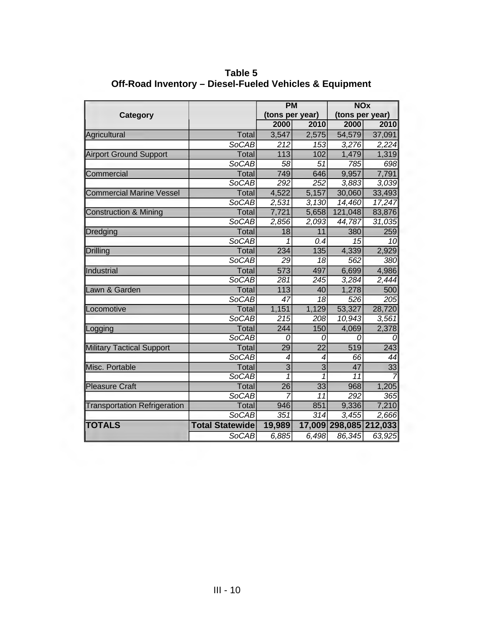|                                     |                        | <b>PM</b>        |                  | <b>NOx</b>      |                        |  |
|-------------------------------------|------------------------|------------------|------------------|-----------------|------------------------|--|
| Category                            |                        | (tons per year)  |                  | (tons per year) |                        |  |
|                                     |                        | 2000             | 2010             | 2000            | 2010                   |  |
| Agricultural                        | Total                  | 3,547            | 2,575            | 54,579          | 37,091                 |  |
|                                     | <b>SoCAB</b>           | 212              | 153              | 3,276           | 2,224                  |  |
| <b>Airport Ground Support</b>       | Total                  | 113              | 102              | 1,479           | 1,319                  |  |
|                                     | <b>SoCAB</b>           | 58               | 51               | 785             | 698                    |  |
| Commercial                          | Total                  | 749              | 646              | 9,957           | 7,791                  |  |
|                                     | <b>SoCAB</b>           | 292              | 252              | 3,883           | 3,039                  |  |
| <b>Commercial Marine Vessel</b>     | <b>Total</b>           | 4,522            | 5,157            | 30,060          | 33,493                 |  |
|                                     | <b>SoCAB</b>           | 2,531            | 3,130            | 14,460          | 17,247                 |  |
| <b>Construction &amp; Mining</b>    | Total                  | 7,721            | 5,658            | 121,048         | 83,876                 |  |
|                                     | <b>SoCAB</b>           | 2,856            | 2,093            | 44,787          | 31,035                 |  |
| Dredging                            | <b>Total</b>           | 18               | 11               | 380             | 259                    |  |
|                                     | <b>SoCAB</b>           | 1                | 0.4              | 15              | 10                     |  |
| <b>Drilling</b>                     | Total                  | 234              | 135              | 4,339           | 2,929                  |  |
|                                     | <b>SoCAB</b>           | 29               | 18               | 562             | 380                    |  |
| Industrial                          | <b>Total</b>           | 573              | 497              | 6,699           | 4,986                  |  |
|                                     | <b>SoCAB</b>           | 281              | 245              | 3,284           | 2,444                  |  |
| Lawn & Garden                       | Total                  | 113              | 40               | 1,278           | 500                    |  |
|                                     | <b>SoCAB</b>           | $\overline{47}$  | $\overline{18}$  | 526             | 205                    |  |
| Locomotive                          | <b>Total</b>           | 1,151            | 1,129            | 53,327          | 28,720                 |  |
|                                     | <b>SoCAB</b>           | $\overline{215}$ | 208              | 10,943          | 3,561                  |  |
| Logging                             | Total                  | 244              | 150              | 4,069           | 2,378                  |  |
|                                     | <b>SoCAB</b>           | 0                | 0                | 0               | 0                      |  |
| <b>Military Tactical Support</b>    | <b>Total</b>           | 29               | $\overline{22}$  | 519             | 243                    |  |
|                                     | <b>SoCAB</b>           | 4                | 4                | 66              | 44                     |  |
| Misc. Portable                      | <b>Total</b>           | $\overline{3}$   | $\overline{3}$   | 47              | $\overline{33}$        |  |
|                                     | <b>SoCAB</b>           | 1                | 1                | $\overline{11}$ |                        |  |
| <b>Pleasure Craft</b>               | Total                  | $\overline{26}$  | 33               | 968             | 1,205                  |  |
|                                     | <b>SoCAB</b>           |                  | 11               | 292             | 365                    |  |
| <b>Transportation Refrigeration</b> | <b>Total</b>           | 946              | 851              | 9,336           | 7,210                  |  |
|                                     | <b>SoCAB</b>           | 351              | $\overline{314}$ | 3,455           | 2,666                  |  |
| <b>TOTALS</b>                       | <b>Total Statewide</b> | 19,989           |                  |                 | 17,009 298,085 212,033 |  |
|                                     | <b>SoCAB</b>           | 6,885            | 6,498            | 86,345          | 63,925                 |  |

**Table 5 Off-Road Inventory – Diesel-Fueled Vehicles & Equipment**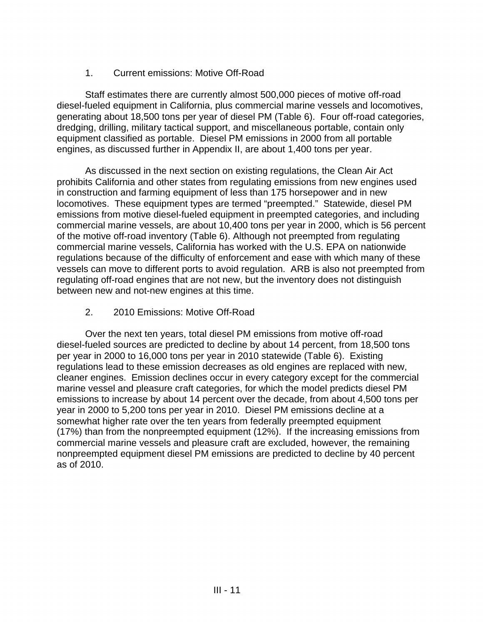# 1. Current emissions: Motive Off-Road

Staff estimates there are currently almost 500,000 pieces of motive off-road diesel-fueled equipment in California, plus commercial marine vessels and locomotives, generating about 18,500 tons per year of diesel PM (Table 6). Four off-road categories, dredging, drilling, military tactical support, and miscellaneous portable, contain only equipment classified as portable. Diesel PM emissions in 2000 from all portable engines, as discussed further in Appendix II, are about 1,400 tons per year.

As discussed in the next section on existing regulations, the Clean Air Act prohibits California and other states from regulating emissions from new engines used in construction and farming equipment of less than 175 horsepower and in new locomotives. These equipment types are termed "preempted." Statewide, diesel PM emissions from motive diesel-fueled equipment in preempted categories, and including commercial marine vessels, are about 10,400 tons per year in 2000, which is 56 percent of the motive off-road inventory (Table 6). Although not preempted from regulating commercial marine vessels, California has worked with the U.S. EPA on nationwide regulations because of the difficulty of enforcement and ease with which many of these vessels can move to different ports to avoid regulation. ARB is also not preempted from regulating off-road engines that are not new, but the inventory does not distinguish between new and not-new engines at this time.

# 2. 2010 Emissions: Motive Off-Road

Over the next ten years, total diesel PM emissions from motive off-road diesel-fueled sources are predicted to decline by about 14 percent, from 18,500 tons per year in 2000 to 16,000 tons per year in 2010 statewide (Table 6). Existing regulations lead to these emission decreases as old engines are replaced with new, cleaner engines. Emission declines occur in every category except for the commercial marine vessel and pleasure craft categories, for which the model predicts diesel PM emissions to increase by about 14 percent over the decade, from about 4,500 tons per year in 2000 to 5,200 tons per year in 2010. Diesel PM emissions decline at a somewhat higher rate over the ten years from federally preempted equipment (17%) than from the nonpreempted equipment (12%). If the increasing emissions from commercial marine vessels and pleasure craft are excluded, however, the remaining nonpreempted equipment diesel PM emissions are predicted to decline by 40 percent as of 2010.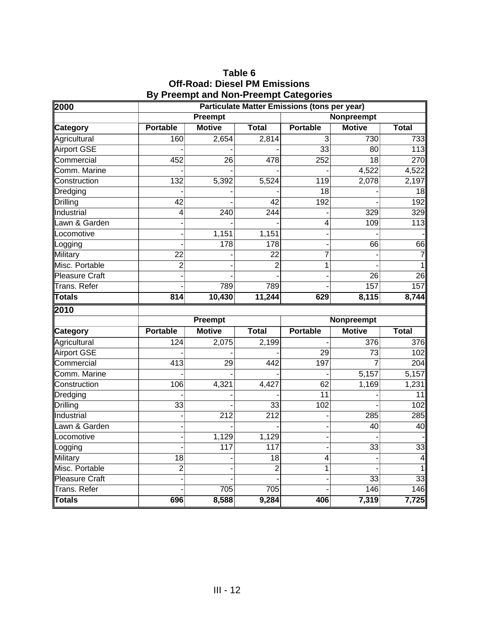# **Table 6 Off-Road: Diesel PM Emissions By Preempt and Non-Preempt Categories**

| 2000                          | <b>Particulate Matter Emissions (tons per year)</b> |                  |                  |                 |                   |                    |  |
|-------------------------------|-----------------------------------------------------|------------------|------------------|-----------------|-------------------|--------------------|--|
|                               |                                                     | Preempt          |                  |                 | Nonpreempt        |                    |  |
| ∥Category                     | <b>Portable</b>                                     | <b>Motive</b>    | <b>Total</b>     | <b>Portable</b> | <b>Motive</b>     | <b>Total</b>       |  |
| Agricultural                  | 160                                                 | 2,654            | 2,814            | $\overline{3}$  | 730               | 733                |  |
| <b>Airport GSE</b>            |                                                     |                  |                  | $\overline{33}$ | 80                | 113                |  |
| Commercial                    | 452                                                 | $\overline{26}$  | 478              | 252             | $\overline{18}$   | 270                |  |
| Comm. Marine                  |                                                     |                  |                  |                 | 4,522             | 4,522              |  |
| Construction                  | 132                                                 | 5,392            | 5,524            | 119             | 2,078             | 2,197              |  |
| Dredging                      |                                                     |                  |                  | 18              |                   | 18                 |  |
| Drilling                      | $\overline{42}$                                     |                  | 42               | 192             |                   | 192                |  |
| Industrial                    | 4                                                   | 240              | 244              |                 | 329               | 329                |  |
| Lawn & Garden                 |                                                     |                  |                  | 4               | 109               | 113                |  |
| Locomotive                    |                                                     | 1,151            | 1,151            |                 |                   |                    |  |
| Logging                       |                                                     | 178              | 178              |                 | 66                | 66                 |  |
| Military                      | $\overline{22}$                                     |                  | 22               | 7               |                   | 7                  |  |
| Misc. Portable                | $\overline{2}$                                      |                  | 2                | 1               |                   |                    |  |
| <b>Pleasure Craft</b>         |                                                     |                  |                  |                 | 26                | $\overline{26}$    |  |
| <b>Trans. Refer</b>           |                                                     | 789              | 789              |                 | 157               | 157                |  |
| <b>Totals</b>                 | 814                                                 | 10,430           | 11,244           | 629             | 8,115             | 8,744              |  |
| 2010                          |                                                     |                  |                  |                 |                   |                    |  |
|                               |                                                     | <b>Preempt</b>   |                  |                 | <b>Nonpreempt</b> |                    |  |
| ∥Category                     | <b>Portable</b>                                     | <b>Motive</b>    | <b>Total</b>     | <b>Portable</b> | <b>Motive</b>     | <b>Total</b>       |  |
| Agricultural                  | 124                                                 | 2,075            | 2,199            |                 | 376               | 376                |  |
| <b>Airport GSE</b>            |                                                     |                  |                  | 29              | 73                | 102                |  |
| Commercial                    | $\overline{413}$                                    | 29               | 442              | 197             | 7                 | 204                |  |
| Comm. Marine                  |                                                     |                  |                  |                 | 5,157             | 5,157              |  |
| Construction                  | 106                                                 | 4,321            | 4,427            | 62              | 1,169             | 1,231              |  |
| Dredging                      |                                                     |                  |                  | $\overline{11}$ |                   | 11                 |  |
| <b>Drilling</b>               | $\overline{33}$                                     |                  | 33               | 102             |                   | 102                |  |
| Industrial                    |                                                     | $\overline{212}$ | $\overline{212}$ |                 | 285               | 285                |  |
| Lawn & Garden                 |                                                     |                  |                  |                 | 40                | 40                 |  |
| Locomotive                    |                                                     | 1,129            | 1,129            |                 |                   |                    |  |
| Logging                       |                                                     | 117              | 117              |                 | 33                | 33                 |  |
|                               |                                                     |                  |                  |                 |                   |                    |  |
| Military                      | $\overline{18}$                                     |                  | 18               | 4               |                   |                    |  |
| Misc. Portable                | 2                                                   |                  | $\overline{2}$   | 1               |                   |                    |  |
| <b>Pleasure Craft</b>         |                                                     |                  |                  |                 | $\overline{33}$   |                    |  |
| <b>Trans. Refer</b><br>Totals | 696                                                 | 705<br>8,588     | 705<br>9,284     | 406             | 146<br>7,319      | 33<br>146<br>7,725 |  |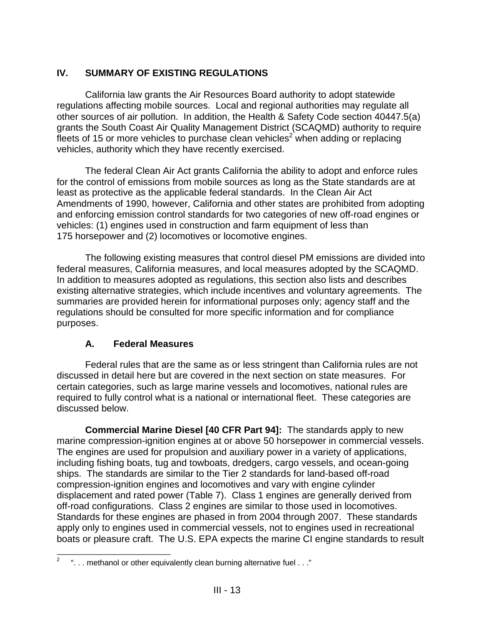# **IV. SUMMARY OF EXISTING REGULATIONS**

California law grants the Air Resources Board authority to adopt statewide regulations affecting mobile sources. Local and regional authorities may regulate all other sources of air pollution. In addition, the Health & Safety Code section 40447.5(a) grants the South Coast Air Quality Management District (SCAQMD) authority to require fleets of 15 or more vehicles to purchase clean vehicles<sup>2</sup> when adding or replacing vehicles, authority which they have recently exercised.

The federal Clean Air Act grants California the ability to adopt and enforce rules for the control of emissions from mobile sources as long as the State standards are at least as protective as the applicable federal standards. In the Clean Air Act Amendments of 1990, however, California and other states are prohibited from adopting and enforcing emission control standards for two categories of new off-road engines or vehicles: (1) engines used in construction and farm equipment of less than 175 horsepower and (2) locomotives or locomotive engines.

The following existing measures that control diesel PM emissions are divided into federal measures, California measures, and local measures adopted by the SCAQMD. In addition to measures adopted as regulations, this section also lists and describes existing alternative strategies, which include incentives and voluntary agreements. The summaries are provided herein for informational purposes only; agency staff and the regulations should be consulted for more specific information and for compliance purposes.

# **A. Federal Measures**

Federal rules that are the same as or less stringent than California rules are not discussed in detail here but are covered in the next section on state measures. For certain categories, such as large marine vessels and locomotives, national rules are required to fully control what is a national or international fleet. These categories are discussed below.

**Commercial Marine Diesel [40 CFR Part 94]:** The standards apply to new marine compression-ignition engines at or above 50 horsepower in commercial vessels. The engines are used for propulsion and auxiliary power in a variety of applications, including fishing boats, tug and towboats, dredgers, cargo vessels, and ocean-going ships. The standards are similar to the Tier 2 standards for land-based off-road compression-ignition engines and locomotives and vary with engine cylinder displacement and rated power (Table 7). Class 1 engines are generally derived from off-road configurations. Class 2 engines are similar to those used in locomotives. Standards for these engines are phased in from 2004 through 2007. These standards apply only to engines used in commercial vessels, not to engines used in recreational boats or pleasure craft. The U.S. EPA expects the marine CI engine standards to result

 $\frac{1}{2}$ ". . . methanol or other equivalently clean burning alternative fuel . . ."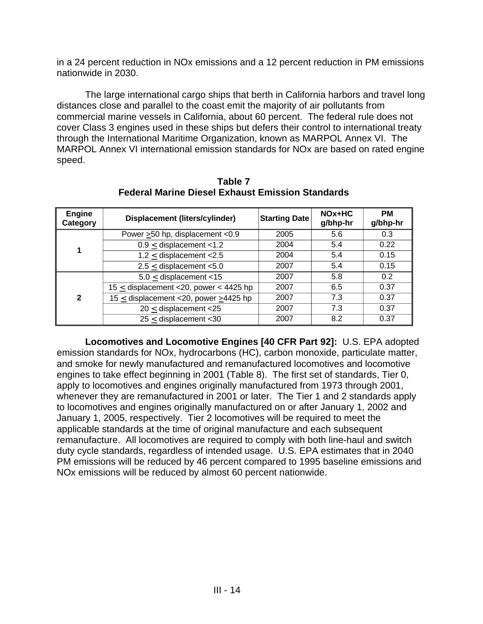in a 24 percent reduction in NOx emissions and a 12 percent reduction in PM emissions nationwide in 2030.

The large international cargo ships that berth in California harbors and travel long distances close and parallel to the coast emit the majority of air pollutants from commercial marine vessels in California, about 60 percent. The federal rule does not cover Class 3 engines used in these ships but defers their control to international treaty through the International Maritime Organization, known as MARPOL Annex VI. The MARPOL Annex VI international emission standards for NOx are based on rated engine speed.

| <b>Engine</b><br>Category | <b>Displacement (liters/cylinder)</b>       | <b>Starting Date</b> | $NOx+HC$<br>g/bhp-hr | <b>PM</b><br>g/bhp-hr |
|---------------------------|---------------------------------------------|----------------------|----------------------|-----------------------|
|                           | Power $\geq$ 50 hp, displacement <0.9       | 2005                 | 5.6                  | 0.3                   |
| 1                         | $0.9 \le$ displacement <1.2                 | 2004                 | 5.4                  | 0.22                  |
|                           | 1.2 $\leq$ displacement <2.5                | 2004                 | 5.4                  | 0.15                  |
|                           | $2.5 \le$ displacement <5.0                 | 2007                 | 5.4                  | 0.15                  |
|                           | $5.0 \le$ displacement <15                  | 2007                 | 5.8                  | 0.2                   |
| $\mathbf{2}$              | 15 $\leq$ displacement <20, power < 4425 hp | 2007                 | 6.5                  | 0.37                  |
|                           | 15 $\leq$ displacement <20, power >4425 hp  | 2007                 | 7.3                  | 0.37                  |
|                           | $20 \le$ displacement <25                   | 2007                 | 7.3                  | 0.37                  |
|                           | $25 \le$ displacement <30                   | 2007                 | 8.2                  | 0.37                  |

**Table 7 Federal Marine Diesel Exhaust Emission Standards** 

**Locomotives and Locomotive Engines [40 CFR Part 92]:** U.S. EPA adopted emission standards for NOx, hydrocarbons (HC), carbon monoxide, particulate matter, and smoke for newly manufactured and remanufactured locomotives and locomotive engines to take effect beginning in 2001 (Table 8). The first set of standards, Tier 0, apply to locomotives and engines originally manufactured from 1973 through 2001, whenever they are remanufactured in 2001 or later. The Tier 1 and 2 standards apply to locomotives and engines originally manufactured on or after January 1, 2002 and January 1, 2005, respectively. Tier 2 locomotives will be required to meet the applicable standards at the time of original manufacture and each subsequent remanufacture. All locomotives are required to comply with both line-haul and switch duty cycle standards, regardless of intended usage. U.S. EPA estimates that in 2040 PM emissions will be reduced by 46 percent compared to 1995 baseline emissions and NOx emissions will be reduced by almost 60 percent nationwide.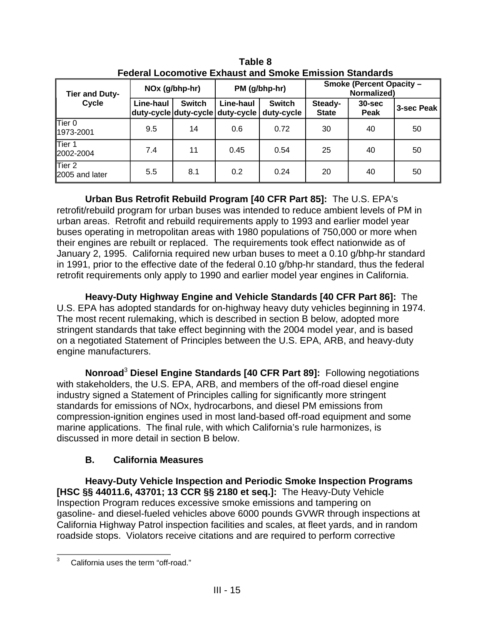| ו טעטוער בטטטוווטגוזט בגוועטטג עווט טוווטגט בווווטטוטוו טנעוועערעט |                |               |                                               |                             |                                                |                    |            |  |
|--------------------------------------------------------------------|----------------|---------------|-----------------------------------------------|-----------------------------|------------------------------------------------|--------------------|------------|--|
| <b>Tier and Duty-</b>                                              | NOx (g/bhp-hr) |               | PM (g/bhp-hr)                                 |                             | <b>Smoke (Percent Opacity -</b><br>Normalized) |                    |            |  |
| Cycle                                                              | Line-haul      | <b>Switch</b> | Line-haul<br>duty-cycle duty-cycle duty-cycle | <b>Switch</b><br>duty-cycle | Steady-<br><b>State</b>                        | $30 - sec$<br>Peak | 3-sec Peak |  |
| Tier 0<br>1973-2001                                                | 9.5            | 14            | 0.6                                           | 0.72                        | 30                                             | 40                 | 50         |  |
| Tier 1<br>2002-2004                                                | 7.4            | 11            | 0.45                                          | 0.54                        | 25                                             | 40                 | 50         |  |
| $ $ Tier 2<br>2005 and later                                       | 5.5            | 8.1           | 0.2                                           | 0.24                        | 20                                             | 40                 | 50         |  |

**Table 8 Federal Locomotive Exhaust and Smoke Emission Standards** 

**Urban Bus Retrofit Rebuild Program [40 CFR Part 85]:** The U.S. EPA's retrofit/rebuild program for urban buses was intended to reduce ambient levels of PM in urban areas. Retrofit and rebuild requirements apply to 1993 and earlier model year buses operating in metropolitan areas with 1980 populations of 750,000 or more when their engines are rebuilt or replaced. The requirements took effect nationwide as of January 2, 1995. California required new urban buses to meet a 0.10 g/bhp-hr standard in 1991, prior to the effective date of the federal 0.10 g/bhp-hr standard, thus the federal retrofit requirements only apply to 1990 and earlier model year engines in California.

**Heavy-Duty Highway Engine and Vehicle Standards [40 CFR Part 86]:** The U.S. EPA has adopted standards for on-highway heavy duty vehicles beginning in 1974. The most recent rulemaking, which is described in section B below, adopted more stringent standards that take effect beginning with the 2004 model year, and is based on a negotiated Statement of Principles between the U.S. EPA, ARB, and heavy-duty engine manufacturers.

**Nonroad**<sup>3</sup>**Diesel Engine Standards [40 CFR Part 89]:** Following negotiations with stakeholders, the U.S. EPA, ARB, and members of the off-road diesel engine industry signed a Statement of Principles calling for significantly more stringent standards for emissions of NOx, hydrocarbons, and diesel PM emissions from compression-ignition engines used in most land-based off-road equipment and some marine applications. The final rule, with which California's rule harmonizes, is discussed in more detail in section B below.

# **B. California Measures**

**Heavy-Duty Vehicle Inspection and Periodic Smoke Inspection Programs [HSC §§ 44011.6, 43701; 13 CCR §§ 2180 et seq.]:** The Heavy-Duty Vehicle Inspection Program reduces excessive smoke emissions and tampering on gasoline- and diesel-fueled vehicles above 6000 pounds GVWR through inspections at California Highway Patrol inspection facilities and scales, at fleet yards, and in random roadside stops. Violators receive citations and are required to perform corrective

 $\frac{1}{3}$ California uses the term "off-road."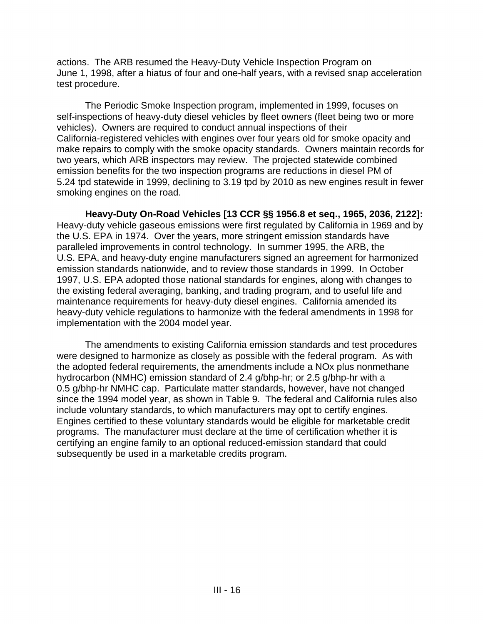actions. The ARB resumed the Heavy-Duty Vehicle Inspection Program on June 1, 1998, after a hiatus of four and one-half years, with a revised snap acceleration test procedure.

The Periodic Smoke Inspection program, implemented in 1999, focuses on self-inspections of heavy-duty diesel vehicles by fleet owners (fleet being two or more vehicles). Owners are required to conduct annual inspections of their California-registered vehicles with engines over four years old for smoke opacity and make repairs to comply with the smoke opacity standards. Owners maintain records for two years, which ARB inspectors may review. The projected statewide combined emission benefits for the two inspection programs are reductions in diesel PM of 5.24 tpd statewide in 1999, declining to 3.19 tpd by 2010 as new engines result in fewer smoking engines on the road.

**Heavy-Duty On-Road Vehicles [13 CCR §§ 1956.8 et seq., 1965, 2036, 2122]:**  Heavy-duty vehicle gaseous emissions were first regulated by California in 1969 and by the U.S. EPA in 1974. Over the years, more stringent emission standards have paralleled improvements in control technology. In summer 1995, the ARB, the U.S. EPA, and heavy-duty engine manufacturers signed an agreement for harmonized emission standards nationwide, and to review those standards in 1999. In October 1997, U.S. EPA adopted those national standards for engines, along with changes to the existing federal averaging, banking, and trading program, and to useful life and maintenance requirements for heavy-duty diesel engines. California amended its heavy-duty vehicle regulations to harmonize with the federal amendments in 1998 for implementation with the 2004 model year.

The amendments to existing California emission standards and test procedures were designed to harmonize as closely as possible with the federal program. As with the adopted federal requirements, the amendments include a NOx plus nonmethane hydrocarbon (NMHC) emission standard of 2.4 g/bhp-hr; or 2.5 g/bhp-hr with a 0.5 g/bhp-hr NMHC cap. Particulate matter standards, however, have not changed since the 1994 model year, as shown in Table 9. The federal and California rules also include voluntary standards, to which manufacturers may opt to certify engines. Engines certified to these voluntary standards would be eligible for marketable credit programs. The manufacturer must declare at the time of certification whether it is certifying an engine family to an optional reduced-emission standard that could subsequently be used in a marketable credits program.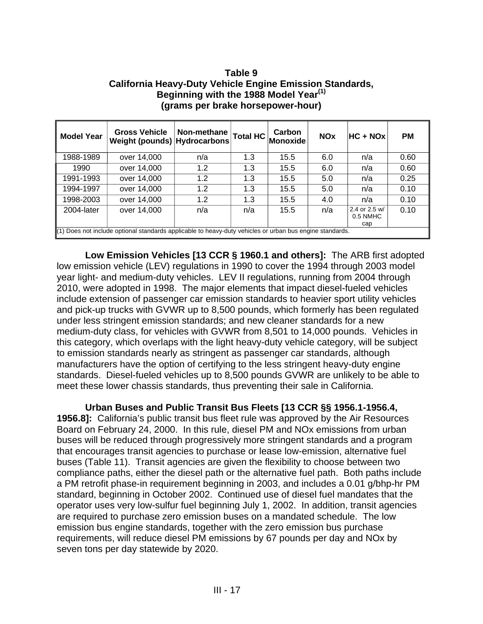#### **Table 9 California Heavy-Duty Vehicle Engine Emission Standards, Beginning with the 1988 Model Year(1) (grams per brake horsepower-hour)**

| <b>Model Year</b> | <b>Gross Vehicle</b><br>Weight (pounds) Hydrocarbons                                                     | Non-methane | $\vert$ Total HC $\vert$ | Carbon<br><b>Monoxide</b> | <b>NOx</b> | <b>HC + NOx</b>                  | <b>PM</b> |
|-------------------|----------------------------------------------------------------------------------------------------------|-------------|--------------------------|---------------------------|------------|----------------------------------|-----------|
| 1988-1989         | over 14,000                                                                                              | n/a         | 1.3                      | 15.5                      | 6.0        | n/a                              | 0.60      |
| 1990              | over 14,000                                                                                              | 1.2         | 1.3                      | 15.5                      | 6.0        | n/a                              | 0.60      |
| 1991-1993         | over 14,000                                                                                              | 1.2         | 1.3                      | 15.5                      | 5.0        | n/a                              | 0.25      |
| 1994-1997         | over 14,000                                                                                              | 1.2         | 1.3                      | 15.5                      | 5.0        | n/a                              | 0.10      |
| 1998-2003         | over 14,000                                                                                              | 1.2         | 1.3                      | 15.5                      | 4.0        | n/a                              | 0.10      |
| 2004-later        | over 14,000                                                                                              | n/a         | n/a                      | 15.5                      | n/a        | 2.4 or 2.5 w/<br>0.5 NMHC<br>cap | 0.10      |
|                   | (1) Does not include optional standards applicable to heavy-duty vehicles or urban bus engine standards. |             |                          |                           |            |                                  |           |

**Low Emission Vehicles [13 CCR § 1960.1 and others]:** The ARB first adopted low emission vehicle (LEV) regulations in 1990 to cover the 1994 through 2003 model year light- and medium-duty vehicles. LEV II regulations, running from 2004 through 2010, were adopted in 1998. The major elements that impact diesel-fueled vehicles include extension of passenger car emission standards to heavier sport utility vehicles and pick-up trucks with GVWR up to 8,500 pounds, which formerly has been regulated under less stringent emission standards; and new cleaner standards for a new medium-duty class, for vehicles with GVWR from 8,501 to 14,000 pounds. Vehicles in this category, which overlaps with the light heavy-duty vehicle category, will be subject to emission standards nearly as stringent as passenger car standards, although manufacturers have the option of certifying to the less stringent heavy-duty engine standards. Diesel-fueled vehicles up to 8,500 pounds GVWR are unlikely to be able to meet these lower chassis standards, thus preventing their sale in California.

**Urban Buses and Public Transit Bus Fleets [13 CCR §§ 1956.1-1956.4, 1956.8]:** California's public transit bus fleet rule was approved by the Air Resources Board on February 24, 2000. In this rule, diesel PM and NOx emissions from urban buses will be reduced through progressively more stringent standards and a program that encourages transit agencies to purchase or lease low-emission, alternative fuel buses (Table 11). Transit agencies are given the flexibility to choose between two compliance paths, either the diesel path or the alternative fuel path. Both paths include a PM retrofit phase-in requirement beginning in 2003, and includes a 0.01 g/bhp-hr PM standard, beginning in October 2002. Continued use of diesel fuel mandates that the operator uses very low-sulfur fuel beginning July 1, 2002. In addition, transit agencies are required to purchase zero emission buses on a mandated schedule. The low emission bus engine standards, together with the zero emission bus purchase requirements, will reduce diesel PM emissions by 67 pounds per day and NOx by seven tons per day statewide by 2020.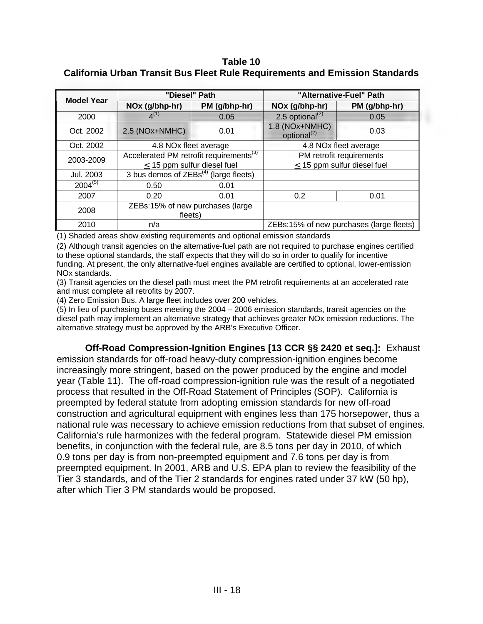#### **Table 10 California Urban Transit Bus Fleet Rule Requirements and Emission Standards**

| <b>Model Year</b> |                                            | "Diesel" Path                                       | "Alternative-Fuel" Path                   |                                          |  |
|-------------------|--------------------------------------------|-----------------------------------------------------|-------------------------------------------|------------------------------------------|--|
|                   | PM (g/bhp-hr)<br>NOx (g/bhp-hr)            |                                                     | NOx (g/bhp-hr)                            | PM (g/bhp-hr)                            |  |
| 2000              | $4^{(1)}$                                  | 0.05                                                | 2.5 optional <sup>(2)</sup>               | 0.05                                     |  |
| Oct. 2002         | 2.5 (NOx+NMHC)                             | 0.01                                                | 1.8 (NOx+NMHC)<br>optional <sup>(2)</sup> | 0.03                                     |  |
| Oct. 2002         | 4.8 NOx fleet average                      |                                                     | 4.8 NOx fleet average                     |                                          |  |
| 2003-2009         |                                            | Accelerated PM retrofit requirements <sup>(3)</sup> | PM retrofit requirements                  |                                          |  |
|                   | $\leq$ 15 ppm sulfur diesel fuel           |                                                     | $\leq$ 15 ppm sulfur diesel fuel          |                                          |  |
| Jul. 2003         | 3 bus demos of $ZEBs^{(4)}$ (large fleets) |                                                     |                                           |                                          |  |
| $2004^{(5)}$      | 0.50                                       | 0.01                                                |                                           |                                          |  |
| 2007              | 0.20                                       | 0.01                                                | 0.2                                       | 0.01                                     |  |
| 2008              | ZEBs:15% of new purchases (large           |                                                     |                                           |                                          |  |
|                   | fleets)                                    |                                                     |                                           |                                          |  |
| 2010              | n/a                                        |                                                     |                                           | ZEBs:15% of new purchases (large fleets) |  |

(1) Shaded areas show existing requirements and optional emission standards

(2) Although transit agencies on the alternative-fuel path are not required to purchase engines certified to these optional standards, the staff expects that they will do so in order to qualify for incentive funding. At present, the only alternative-fuel engines available are certified to optional, lower-emission NOx standards.

(3) Transit agencies on the diesel path must meet the PM retrofit requirements at an accelerated rate and must complete all retrofits by 2007.

(4) Zero Emission Bus. A large fleet includes over 200 vehicles.

(5) In lieu of purchasing buses meeting the 2004 – 2006 emission standards, transit agencies on the diesel path may implement an alternative strategy that achieves greater NOx emission reductions. The alternative strategy must be approved by the ARB's Executive Officer.

**Off-Road Compression-Ignition Engines [13 CCR §§ 2420 et seq.]:** Exhaust emission standards for off-road heavy-duty compression-ignition engines become increasingly more stringent, based on the power produced by the engine and model year (Table 11). The off-road compression-ignition rule was the result of a negotiated process that resulted in the Off-Road Statement of Principles (SOP). California is preempted by federal statute from adopting emission standards for new off-road construction and agricultural equipment with engines less than 175 horsepower, thus a national rule was necessary to achieve emission reductions from that subset of engines. California's rule harmonizes with the federal program. Statewide diesel PM emission benefits, in conjunction with the federal rule, are 8.5 tons per day in 2010, of which 0.9 tons per day is from non-preempted equipment and 7.6 tons per day is from preempted equipment. In 2001, ARB and U.S. EPA plan to review the feasibility of the Tier 3 standards, and of the Tier 2 standards for engines rated under 37 kW (50 hp), after which Tier 3 PM standards would be proposed.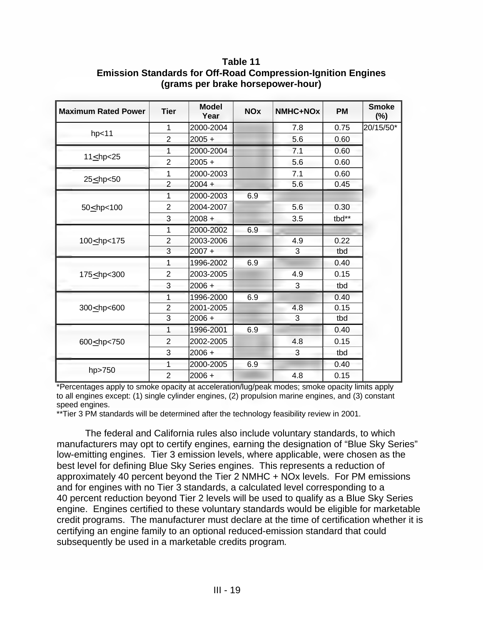**Table 11 Emission Standards for Off-Road Compression-Ignition Engines (grams per brake horsepower-hour)** 

| <b>Maximum Rated Power</b>                                                                                                   | <b>Tier</b>    | <b>Model</b><br>Year | <b>NOx</b> | NMHC+NOx | <b>PM</b> | <b>Smoke</b><br>$(\%)$ |
|------------------------------------------------------------------------------------------------------------------------------|----------------|----------------------|------------|----------|-----------|------------------------|
|                                                                                                                              | 1              | 2000-2004            |            | 7.8      | 0.75      | 20/15/50*              |
| hp<11                                                                                                                        | $\overline{2}$ | $2005 +$             |            | 5.6      | 0.60      |                        |
|                                                                                                                              | 1              | 2000-2004            |            | 7.1      | 0.60      |                        |
| $11 \le hp < 25$                                                                                                             | $\overline{2}$ | $2005 +$             |            | 5.6      | 0.60      |                        |
|                                                                                                                              | 1              | 2000-2003            |            | 7.1      | 0.60      |                        |
|                                                                                                                              | $\overline{2}$ | $2004 +$             |            | 5.6      | 0.45      |                        |
|                                                                                                                              | 1              | 2000-2003            | 6.9        |          |           |                        |
| 50 <hp<100< td=""><td><math>\overline{2}</math></td><td>2004-2007</td><td></td><td>5.6</td><td>0.30</td><td></td></hp<100<>  | $\overline{2}$ | 2004-2007            |            | 5.6      | 0.30      |                        |
|                                                                                                                              | 3              | $2008 +$             |            | 3.5      | tbd**     |                        |
|                                                                                                                              | 1              | 2000-2002            | 6.9        |          |           |                        |
| 100<br>hp<175                                                                                                                | $\overline{2}$ | 2003-2006            |            | 4.9      | 0.22      |                        |
|                                                                                                                              | 3              | $2007 +$             |            | 3        | tbd       |                        |
|                                                                                                                              | 1              | 1996-2002            | 6.9        |          | 0.40      |                        |
| 175<br>hp<300                                                                                                                | $\overline{2}$ | 2003-2005            |            | 4.9      | 0.15      |                        |
|                                                                                                                              | 3              | $2006 +$             |            | 3        | tbd       |                        |
|                                                                                                                              | 1              | 1996-2000            | 6.9        |          | 0.40      |                        |
| 300 <hp<600< td=""><td><math>\overline{2}</math></td><td>2001-2005</td><td></td><td>4.8</td><td>0.15</td><td></td></hp<600<> | $\overline{2}$ | 2001-2005            |            | 4.8      | 0.15      |                        |
|                                                                                                                              | 3              | $2006 +$             |            | 3        | tbd       |                        |
| 600 <hp<750< td=""><td>1</td><td>1996-2001</td><td>6.9</td><td></td><td>0.40</td><td></td></hp<750<>                         | 1              | 1996-2001            | 6.9        |          | 0.40      |                        |
|                                                                                                                              | $\overline{2}$ | 2002-2005            |            | 4.8      | 0.15      |                        |
|                                                                                                                              | 3              | $2006 +$             |            | 3        | tbd       |                        |
|                                                                                                                              | 1              | 2000-2005            | 6.9        |          | 0.40      |                        |
| hp>750                                                                                                                       | $\overline{2}$ | $2006 +$             |            | 4.8      | 0.15      |                        |

\*Percentages apply to smoke opacity at acceleration/lug/peak modes; smoke opacity limits apply to all engines except: (1) single cylinder engines, (2) propulsion marine engines, and (3) constant speed engines.

\*\*Tier 3 PM standards will be determined after the technology feasibility review in 2001.

The federal and California rules also include voluntary standards, to which manufacturers may opt to certify engines, earning the designation of "Blue Sky Series" low-emitting engines. Tier 3 emission levels, where applicable, were chosen as the best level for defining Blue Sky Series engines. This represents a reduction of approximately 40 percent beyond the Tier 2 NMHC + NOx levels. For PM emissions and for engines with no Tier 3 standards, a calculated level corresponding to a 40 percent reduction beyond Tier 2 levels will be used to qualify as a Blue Sky Series engine. Engines certified to these voluntary standards would be eligible for marketable credit programs. The manufacturer must declare at the time of certification whether it is certifying an engine family to an optional reduced-emission standard that could subsequently be used in a marketable credits program*.*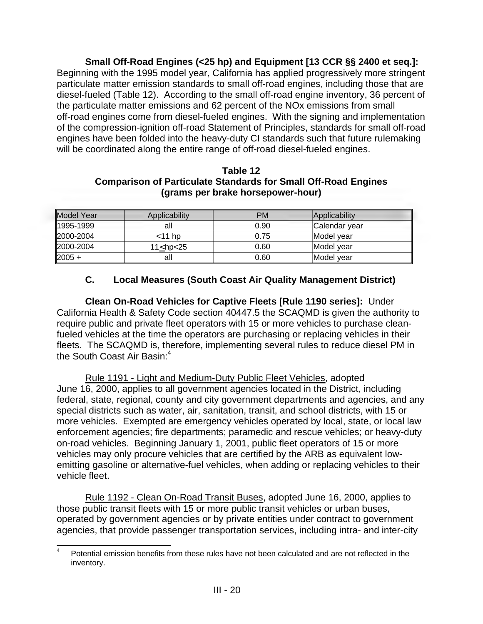**Small Off-Road Engines (<25 hp) and Equipment [13 CCR §§ 2400 et seq.]:** 

Beginning with the 1995 model year, California has applied progressively more stringent particulate matter emission standards to small off-road engines, including those that are diesel-fueled (Table 12). According to the small off-road engine inventory, 36 percent of the particulate matter emissions and 62 percent of the NOx emissions from small off-road engines come from diesel-fueled engines. With the signing and implementation of the compression-ignition off-road Statement of Principles, standards for small off-road engines have been folded into the heavy-duty CI standards such that future rulemaking will be coordinated along the entire range of off-road diesel-fueled engines.

| Table 12                                                              |
|-----------------------------------------------------------------------|
| <b>Comparison of Particulate Standards for Small Off-Road Engines</b> |
| (grams per brake horsepower-hour)                                     |

| <b>IModel Year</b> | Applicability | <b>PM</b> | Applicability             |
|--------------------|---------------|-----------|---------------------------|
| 1995-1999          | all           | 0.90      | Calendar vear             |
| 2000-2004          | $<$ 11 hp     | 0.75      | Model year                |
| 2000-2004          | 11 $25$       | 0.60      | <i><b>IModel vear</b></i> |
| $ 2005 +$          | all           | 0.60      | Model vear                |

# **C. Local Measures (South Coast Air Quality Management District)**

**Clean On-Road Vehicles for Captive Fleets [Rule 1190 series]:** Under California Health & Safety Code section 40447.5 the SCAQMD is given the authority to require public and private fleet operators with 15 or more vehicles to purchase cleanfueled vehicles at the time the operators are purchasing or replacing vehicles in their fleets. The SCAQMD is, therefore, implementing several rules to reduce diesel PM in the South Coast Air Basin:<sup>4</sup>

Rule 1191 - Light and Medium-Duty Public Fleet Vehicles, adopted June 16, 2000, applies to all government agencies located in the District, including federal, state, regional, county and city government departments and agencies, and any special districts such as water, air, sanitation, transit, and school districts, with 15 or more vehicles. Exempted are emergency vehicles operated by local, state, or local law enforcement agencies; fire departments; paramedic and rescue vehicles; or heavy-duty on-road vehicles. Beginning January 1, 2001, public fleet operators of 15 or more vehicles may only procure vehicles that are certified by the ARB as equivalent lowemitting gasoline or alternative-fuel vehicles, when adding or replacing vehicles to their vehicle fleet.

Rule 1192 - Clean On-Road Transit Buses, adopted June 16, 2000, applies to those public transit fleets with 15 or more public transit vehicles or urban buses, operated by government agencies or by private entities under contract to government agencies, that provide passenger transportation services, including intra- and inter-city

 $\frac{1}{4}$ Potential emission benefits from these rules have not been calculated and are not reflected in the inventory.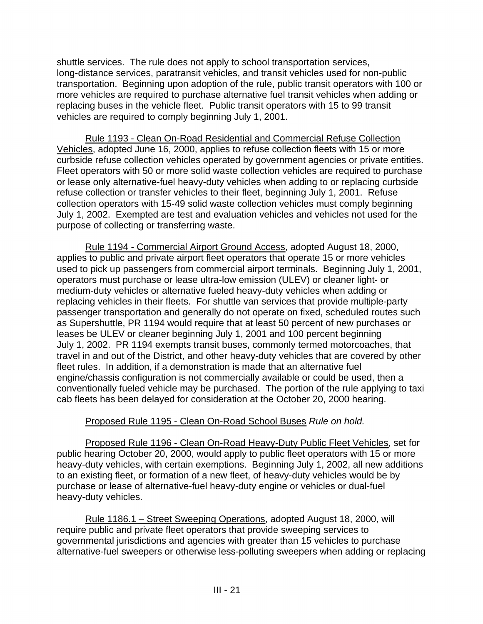shuttle services. The rule does not apply to school transportation services, long-distance services, paratransit vehicles, and transit vehicles used for non-public transportation. Beginning upon adoption of the rule, public transit operators with 100 or more vehicles are required to purchase alternative fuel transit vehicles when adding or replacing buses in the vehicle fleet. Public transit operators with 15 to 99 transit vehicles are required to comply beginning July 1, 2001.

Rule 1193 - Clean On-Road Residential and Commercial Refuse Collection Vehicles, adopted June 16, 2000, applies to refuse collection fleets with 15 or more curbside refuse collection vehicles operated by government agencies or private entities. Fleet operators with 50 or more solid waste collection vehicles are required to purchase or lease only alternative-fuel heavy-duty vehicles when adding to or replacing curbside refuse collection or transfer vehicles to their fleet, beginning July 1, 2001. Refuse collection operators with 15-49 solid waste collection vehicles must comply beginning July 1, 2002. Exempted are test and evaluation vehicles and vehicles not used for the purpose of collecting or transferring waste.

Rule 1194 - Commercial Airport Ground Access, adopted August 18, 2000, applies to public and private airport fleet operators that operate 15 or more vehicles used to pick up passengers from commercial airport terminals. Beginning July 1, 2001, operators must purchase or lease ultra-low emission (ULEV) or cleaner light- or medium-duty vehicles or alternative fueled heavy-duty vehicles when adding or replacing vehicles in their fleets. For shuttle van services that provide multiple-party passenger transportation and generally do not operate on fixed, scheduled routes such as Supershuttle, PR 1194 would require that at least 50 percent of new purchases or leases be ULEV or cleaner beginning July 1, 2001 and 100 percent beginning July 1, 2002. PR 1194 exempts transit buses, commonly termed motorcoaches, that travel in and out of the District, and other heavy-duty vehicles that are covered by other fleet rules. In addition, if a demonstration is made that an alternative fuel engine/chassis configuration is not commercially available or could be used, then a conventionally fueled vehicle may be purchased. The portion of the rule applying to taxi cab fleets has been delayed for consideration at the October 20, 2000 hearing.

# Proposed Rule 1195 - Clean On-Road School Buses *Rule on hold.*

Proposed Rule 1196 - Clean On-Road Heavy-Duty Public Fleet Vehicles, set for public hearing October 20, 2000, would apply to public fleet operators with 15 or more heavy-duty vehicles, with certain exemptions. Beginning July 1, 2002, all new additions to an existing fleet, or formation of a new fleet, of heavy-duty vehicles would be by purchase or lease of alternative-fuel heavy-duty engine or vehicles or dual-fuel heavy-duty vehicles.

Rule 1186.1 – Street Sweeping Operations, adopted August 18, 2000, will require public and private fleet operators that provide sweeping services to governmental jurisdictions and agencies with greater than 15 vehicles to purchase alternative-fuel sweepers or otherwise less-polluting sweepers when adding or replacing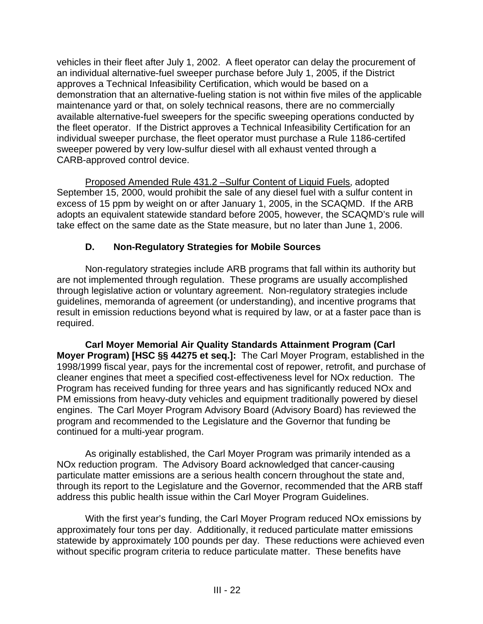vehicles in their fleet after July 1, 2002. A fleet operator can delay the procurement of an individual alternative-fuel sweeper purchase before July 1, 2005, if the District approves a Technical Infeasibility Certification, which would be based on a demonstration that an alternative-fueling station is not within five miles of the applicable maintenance yard or that, on solely technical reasons, there are no commercially available alternative-fuel sweepers for the specific sweeping operations conducted by the fleet operator. If the District approves a Technical Infeasibility Certification for an individual sweeper purchase, the fleet operator must purchase a Rule 1186-certifed sweeper powered by very low-sulfur diesel with all exhaust vented through a CARB-approved control device.

Proposed Amended Rule 431.2 –Sulfur Content of Liquid Fuels, adopted September 15, 2000, would prohibit the sale of any diesel fuel with a sulfur content in excess of 15 ppm by weight on or after January 1, 2005, in the SCAQMD. If the ARB adopts an equivalent statewide standard before 2005, however, the SCAQMD's rule will take effect on the same date as the State measure, but no later than June 1, 2006.

# **D. Non-Regulatory Strategies for Mobile Sources**

Non-regulatory strategies include ARB programs that fall within its authority but are not implemented through regulation. These programs are usually accomplished through legislative action or voluntary agreement. Non-regulatory strategies include guidelines, memoranda of agreement (or understanding), and incentive programs that result in emission reductions beyond what is required by law, or at a faster pace than is required.

**Carl Moyer Memorial Air Quality Standards Attainment Program (Carl Moyer Program) [HSC §§ 44275 et seq.]:** The Carl Moyer Program, established in the 1998/1999 fiscal year, pays for the incremental cost of repower, retrofit, and purchase of cleaner engines that meet a specified cost-effectiveness level for NOx reduction. The Program has received funding for three years and has significantly reduced NOx and PM emissions from heavy-duty vehicles and equipment traditionally powered by diesel engines. The Carl Moyer Program Advisory Board (Advisory Board) has reviewed the program and recommended to the Legislature and the Governor that funding be continued for a multi-year program.

As originally established, the Carl Moyer Program was primarily intended as a NOx reduction program. The Advisory Board acknowledged that cancer-causing particulate matter emissions are a serious health concern throughout the state and, through its report to the Legislature and the Governor, recommended that the ARB staff address this public health issue within the Carl Moyer Program Guidelines.

With the first year's funding, the Carl Moyer Program reduced NOx emissions by approximately four tons per day. Additionally, it reduced particulate matter emissions statewide by approximately 100 pounds per day. These reductions were achieved even without specific program criteria to reduce particulate matter. These benefits have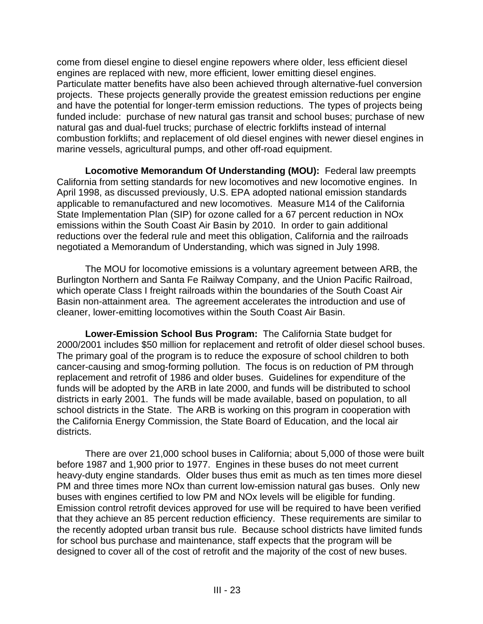come from diesel engine to diesel engine repowers where older, less efficient diesel engines are replaced with new, more efficient, lower emitting diesel engines. Particulate matter benefits have also been achieved through alternative-fuel conversion projects. These projects generally provide the greatest emission reductions per engine and have the potential for longer-term emission reductions. The types of projects being funded include: purchase of new natural gas transit and school buses; purchase of new natural gas and dual-fuel trucks; purchase of electric forklifts instead of internal combustion forklifts; and replacement of old diesel engines with newer diesel engines in marine vessels, agricultural pumps, and other off-road equipment.

**Locomotive Memorandum Of Understanding (MOU):** Federal law preempts California from setting standards for new locomotives and new locomotive engines. In April 1998, as discussed previously, U.S. EPA adopted national emission standards applicable to remanufactured and new locomotives. Measure M14 of the California State Implementation Plan (SIP) for ozone called for a 67 percent reduction in NOx emissions within the South Coast Air Basin by 2010. In order to gain additional reductions over the federal rule and meet this obligation, California and the railroads negotiated a Memorandum of Understanding, which was signed in July 1998.

The MOU for locomotive emissions is a voluntary agreement between ARB, the Burlington Northern and Santa Fe Railway Company, and the Union Pacific Railroad, which operate Class I freight railroads within the boundaries of the South Coast Air Basin non-attainment area. The agreement accelerates the introduction and use of cleaner, lower-emitting locomotives within the South Coast Air Basin.

**Lower-Emission School Bus Program:** The California State budget for 2000/2001 includes \$50 million for replacement and retrofit of older diesel school buses. The primary goal of the program is to reduce the exposure of school children to both cancer-causing and smog-forming pollution. The focus is on reduction of PM through replacement and retrofit of 1986 and older buses. Guidelines for expenditure of the funds will be adopted by the ARB in late 2000, and funds will be distributed to school districts in early 2001. The funds will be made available, based on population, to all school districts in the State. The ARB is working on this program in cooperation with the California Energy Commission, the State Board of Education, and the local air districts.

There are over 21,000 school buses in California; about 5,000 of those were built before 1987 and 1,900 prior to 1977. Engines in these buses do not meet current heavy-duty engine standards. Older buses thus emit as much as ten times more diesel PM and three times more NOx than current low-emission natural gas buses. Only new buses with engines certified to low PM and NOx levels will be eligible for funding. Emission control retrofit devices approved for use will be required to have been verified that they achieve an 85 percent reduction efficiency. These requirements are similar to the recently adopted urban transit bus rule. Because school districts have limited funds for school bus purchase and maintenance, staff expects that the program will be designed to cover all of the cost of retrofit and the majority of the cost of new buses.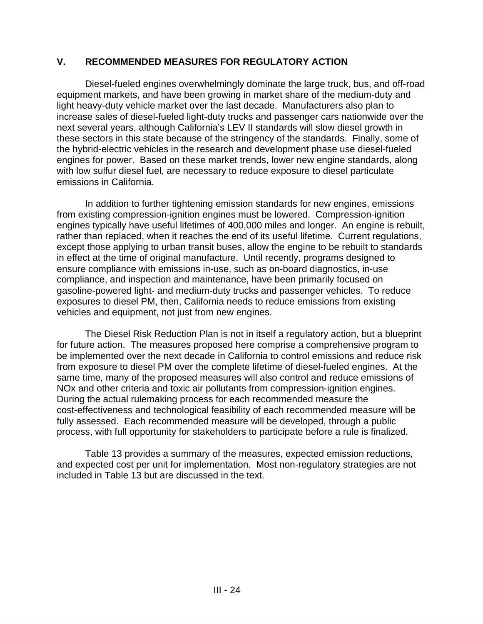#### **V. RECOMMENDED MEASURES FOR REGULATORY ACTION**

Diesel-fueled engines overwhelmingly dominate the large truck, bus, and off-road equipment markets, and have been growing in market share of the medium-duty and light heavy-duty vehicle market over the last decade. Manufacturers also plan to increase sales of diesel-fueled light-duty trucks and passenger cars nationwide over the next several years, although California's LEV II standards will slow diesel growth in these sectors in this state because of the stringency of the standards. Finally, some of the hybrid-electric vehicles in the research and development phase use diesel-fueled engines for power. Based on these market trends, lower new engine standards, along with low sulfur diesel fuel, are necessary to reduce exposure to diesel particulate emissions in California.

In addition to further tightening emission standards for new engines, emissions from existing compression-ignition engines must be lowered. Compression-ignition engines typically have useful lifetimes of 400,000 miles and longer. An engine is rebuilt, rather than replaced, when it reaches the end of its useful lifetime. Current regulations, except those applying to urban transit buses, allow the engine to be rebuilt to standards in effect at the time of original manufacture. Until recently, programs designed to ensure compliance with emissions in-use, such as on-board diagnostics, in-use compliance, and inspection and maintenance, have been primarily focused on gasoline-powered light- and medium-duty trucks and passenger vehicles. To reduce exposures to diesel PM, then, California needs to reduce emissions from existing vehicles and equipment, not just from new engines.

The Diesel Risk Reduction Plan is not in itself a regulatory action, but a blueprint for future action. The measures proposed here comprise a comprehensive program to be implemented over the next decade in California to control emissions and reduce risk from exposure to diesel PM over the complete lifetime of diesel-fueled engines. At the same time, many of the proposed measures will also control and reduce emissions of NOx and other criteria and toxic air pollutants from compression-ignition engines. During the actual rulemaking process for each recommended measure the cost-effectiveness and technological feasibility of each recommended measure will be fully assessed. Each recommended measure will be developed, through a public process, with full opportunity for stakeholders to participate before a rule is finalized.

Table 13 provides a summary of the measures, expected emission reductions, and expected cost per unit for implementation. Most non-regulatory strategies are not included in Table 13 but are discussed in the text.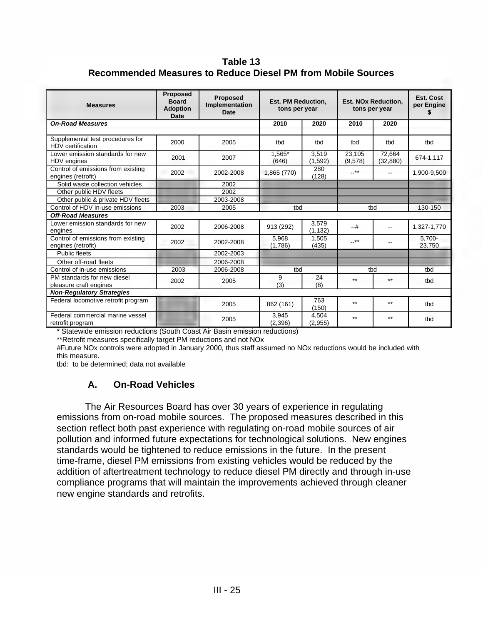#### **Table 13 Recommended Measures to Reduce Diesel PM from Mobile Sources**

| <b>Measures</b>                                          | <b>Proposed</b><br><b>Board</b><br><b>Adoption</b><br><b>Date</b> | <b>Proposed</b><br>Implementation<br><b>Date</b> | <b>Est. PM Reduction.</b><br>tons per year |                   |                   | <b>Est. NOx Reduction.</b><br>tons per year | Est. Cost<br>per Engine |
|----------------------------------------------------------|-------------------------------------------------------------------|--------------------------------------------------|--------------------------------------------|-------------------|-------------------|---------------------------------------------|-------------------------|
| <b>On-Road Measures</b>                                  |                                                                   |                                                  | 2010                                       | 2020              | 2010              | 2020                                        |                         |
| Supplemental test procedures for<br>HDV certification    | 2000                                                              | 2005                                             | tbd                                        | tbd               | tbd               | tbd                                         | tbd                     |
| Lower emission standards for new<br>HDV engines          | 2001                                                              | 2007                                             | 1,565*<br>(646)                            | 3,519<br>(1, 592) | 23,105<br>(9,578) | 72,664<br>(32, 880)                         | 674-1,117               |
| Control of emissions from existing<br>engines (retrofit) | 2002                                                              | 2002-2008                                        | 1,865 (770)                                | 280<br>(128)      | $-***$            | $\overline{\phantom{a}}$                    | 1,900-9,500             |
| Solid waste collection vehicles                          |                                                                   | 2002                                             |                                            |                   |                   |                                             |                         |
| Other public HDV fleets                                  |                                                                   | 2002                                             |                                            |                   |                   |                                             |                         |
| Other public & private HDV fleets                        |                                                                   | 2003-2008                                        |                                            |                   |                   |                                             |                         |
| Control of HDV in-use emissions                          | 2003                                                              | 2005                                             | tbd                                        |                   |                   | tbd                                         | 130-150                 |
| <b>Off-Road Measures</b>                                 |                                                                   |                                                  |                                            |                   |                   |                                             |                         |
| Lower emission standards for new<br>engines              | 2002                                                              | 2006-2008                                        | 913 (292)                                  | 3.579<br>(1, 132) | $-+$ #            | $-1$                                        | 1,327-1,770             |
| Control of emissions from existing<br>engines (retrofit) | 2002                                                              | 2002-2008                                        | 5.968<br>(1,786)                           | 1,505<br>(435)    | $$ **             |                                             | 5.700-<br>23,750        |
| Public fleets                                            |                                                                   | 2002-2003                                        |                                            |                   |                   |                                             |                         |
| Other off-road fleets                                    |                                                                   | 2006-2008                                        |                                            |                   |                   |                                             |                         |
| Control of in-use emissions                              | 2003                                                              | 2006-2008                                        | tbd                                        |                   |                   | tbd                                         | tbd                     |
| PM standards for new diesel<br>pleasure craft engines    | 2002                                                              | 2005                                             | 9<br>(3)                                   | 24<br>(8)         | $***$             | $***$                                       | tbd                     |
| <b>Non-Regulatory Strategies</b>                         |                                                                   |                                                  |                                            |                   |                   |                                             |                         |
| Federal locomotive retrofit program                      |                                                                   | 2005                                             | 862 (161)                                  | 763<br>(150)      | $*$               | $***$                                       | tbd                     |
| Federal commercial marine vessel<br>retrofit program     |                                                                   | 2005                                             | 3,945<br>(2,396)                           | 4,504<br>(2,955)  | $***$             | $***$                                       | tbd                     |

\* Statewide emission reductions (South Coast Air Basin emission reductions)

\*\*Retrofit measures specifically target PM reductions and not NOx

#Future NOx controls were adopted in January 2000, thus staff assumed no NOx reductions would be included with this measure.

tbd: to be determined; data not available

#### **A. On-Road Vehicles**

The Air Resources Board has over 30 years of experience in regulating emissions from on-road mobile sources. The proposed measures described in this section reflect both past experience with regulating on-road mobile sources of air pollution and informed future expectations for technological solutions. New engines standards would be tightened to reduce emissions in the future. In the present time-frame, diesel PM emissions from existing vehicles would be reduced by the addition of aftertreatment technology to reduce diesel PM directly and through in-use compliance programs that will maintain the improvements achieved through cleaner new engine standards and retrofits.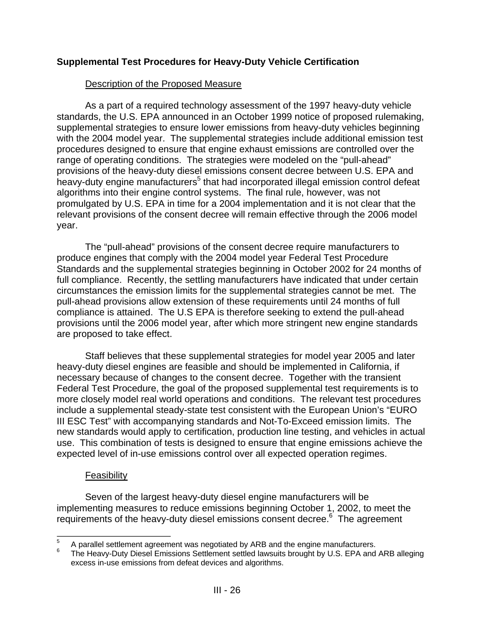# **Supplemental Test Procedures for Heavy-Duty Vehicle Certification**

# Description of the Proposed Measure

As a part of a required technology assessment of the 1997 heavy-duty vehicle standards, the U.S. EPA announced in an October 1999 notice of proposed rulemaking, supplemental strategies to ensure lower emissions from heavy-duty vehicles beginning with the 2004 model year. The supplemental strategies include additional emission test procedures designed to ensure that engine exhaust emissions are controlled over the range of operating conditions. The strategies were modeled on the "pull-ahead" provisions of the heavy-duty diesel emissions consent decree between U.S. EPA and .<br>heavy-duty engine manufacturers<sup>5</sup> that had incorporated illegal emission control defeat algorithms into their engine control systems. The final rule, however, was not promulgated by U.S. EPA in time for a 2004 implementation and it is not clear that the relevant provisions of the consent decree will remain effective through the 2006 model year.

The "pull-ahead" provisions of the consent decree require manufacturers to produce engines that comply with the 2004 model year Federal Test Procedure Standards and the supplemental strategies beginning in October 2002 for 24 months of full compliance. Recently, the settling manufacturers have indicated that under certain circumstances the emission limits for the supplemental strategies cannot be met. The pull-ahead provisions allow extension of these requirements until 24 months of full compliance is attained. The U.S EPA is therefore seeking to extend the pull-ahead provisions until the 2006 model year, after which more stringent new engine standards are proposed to take effect.

Staff believes that these supplemental strategies for model year 2005 and later heavy-duty diesel engines are feasible and should be implemented in California, if necessary because of changes to the consent decree. Together with the transient Federal Test Procedure, the goal of the proposed supplemental test requirements is to more closely model real world operations and conditions. The relevant test procedures include a supplemental steady-state test consistent with the European Union's "EURO III ESC Test" with accompanying standards and Not-To-Exceed emission limits. The new standards would apply to certification, production line testing, and vehicles in actual use. This combination of tests is designed to ensure that engine emissions achieve the expected level of in-use emissions control over all expected operation regimes.

#### **Feasibility**

Seven of the largest heavy-duty diesel engine manufacturers will be implementing measures to reduce emissions beginning October 1, 2002, to meet the requirements of the heavy-duty diesel emissions consent decree.<sup>6</sup> The agreement

 $\overline{a}$ 

 $5$  A parallel settlement agreement was negotiated by ARB and the engine manufacturers.<br>6 The Heavy-Duty Diesel Emissions Settlement settled lawsuits brought by U.S. EPA and ARB alleging excess in-use emissions from defeat devices and algorithms.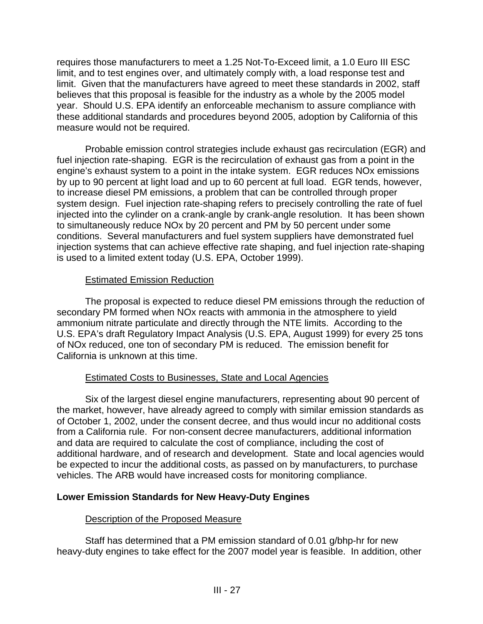requires those manufacturers to meet a 1.25 Not-To-Exceed limit, a 1.0 Euro III ESC limit, and to test engines over, and ultimately comply with, a load response test and limit. Given that the manufacturers have agreed to meet these standards in 2002, staff believes that this proposal is feasible for the industry as a whole by the 2005 model year. Should U.S. EPA identify an enforceable mechanism to assure compliance with these additional standards and procedures beyond 2005, adoption by California of this measure would not be required.

Probable emission control strategies include exhaust gas recirculation (EGR) and fuel injection rate-shaping. EGR is the recirculation of exhaust gas from a point in the engine's exhaust system to a point in the intake system. EGR reduces NOx emissions by up to 90 percent at light load and up to 60 percent at full load. EGR tends, however, to increase diesel PM emissions, a problem that can be controlled through proper system design. Fuel injection rate-shaping refers to precisely controlling the rate of fuel injected into the cylinder on a crank-angle by crank-angle resolution. It has been shown to simultaneously reduce NOx by 20 percent and PM by 50 percent under some conditions. Several manufacturers and fuel system suppliers have demonstrated fuel injection systems that can achieve effective rate shaping, and fuel injection rate-shaping is used to a limited extent today (U.S. EPA, October 1999).

# Estimated Emission Reduction

The proposal is expected to reduce diesel PM emissions through the reduction of secondary PM formed when NOx reacts with ammonia in the atmosphere to yield ammonium nitrate particulate and directly through the NTE limits. According to the U.S. EPA's draft Regulatory Impact Analysis (U.S. EPA, August 1999) for every 25 tons of NOx reduced, one ton of secondary PM is reduced. The emission benefit for California is unknown at this time.

# Estimated Costs to Businesses, State and Local Agencies

Six of the largest diesel engine manufacturers, representing about 90 percent of the market, however, have already agreed to comply with similar emission standards as of October 1, 2002, under the consent decree, and thus would incur no additional costs from a California rule. For non-consent decree manufacturers, additional information and data are required to calculate the cost of compliance, including the cost of additional hardware, and of research and development. State and local agencies would be expected to incur the additional costs, as passed on by manufacturers, to purchase vehicles. The ARB would have increased costs for monitoring compliance.

# **Lower Emission Standards for New Heavy-Duty Engines**

# Description of the Proposed Measure

Staff has determined that a PM emission standard of 0.01 g/bhp-hr for new heavy-duty engines to take effect for the 2007 model year is feasible. In addition, other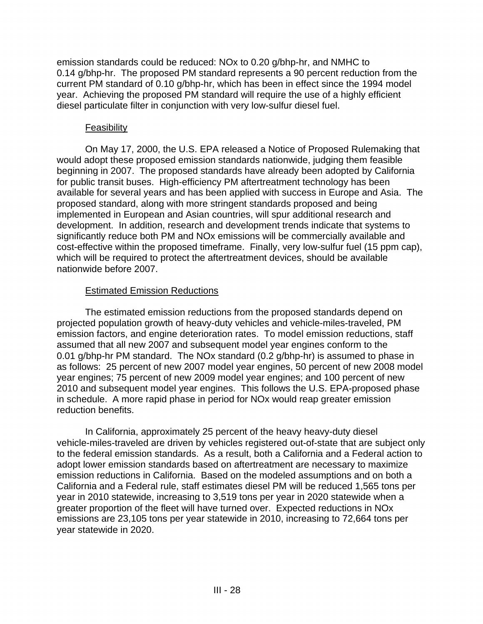emission standards could be reduced: NOx to 0.20 g/bhp-hr, and NMHC to 0.14 g/bhp-hr. The proposed PM standard represents a 90 percent reduction from the current PM standard of 0.10 g/bhp-hr, which has been in effect since the 1994 model year. Achieving the proposed PM standard will require the use of a highly efficient diesel particulate filter in conjunction with very low-sulfur diesel fuel.

#### Feasibility

On May 17, 2000, the U.S. EPA released a Notice of Proposed Rulemaking that would adopt these proposed emission standards nationwide, judging them feasible beginning in 2007. The proposed standards have already been adopted by California for public transit buses. High-efficiency PM aftertreatment technology has been available for several years and has been applied with success in Europe and Asia. The proposed standard, along with more stringent standards proposed and being implemented in European and Asian countries, will spur additional research and development. In addition, research and development trends indicate that systems to significantly reduce both PM and NOx emissions will be commercially available and cost-effective within the proposed timeframe. Finally, very low-sulfur fuel (15 ppm cap), which will be required to protect the aftertreatment devices, should be available nationwide before 2007.

# Estimated Emission Reductions

The estimated emission reductions from the proposed standards depend on projected population growth of heavy-duty vehicles and vehicle-miles-traveled, PM emission factors, and engine deterioration rates. To model emission reductions, staff assumed that all new 2007 and subsequent model year engines conform to the 0.01 g/bhp-hr PM standard. The NOx standard (0.2 g/bhp-hr) is assumed to phase in as follows: 25 percent of new 2007 model year engines, 50 percent of new 2008 model year engines; 75 percent of new 2009 model year engines; and 100 percent of new 2010 and subsequent model year engines. This follows the U.S. EPA-proposed phase in schedule. A more rapid phase in period for NOx would reap greater emission reduction benefits.

In California, approximately 25 percent of the heavy heavy-duty diesel vehicle-miles-traveled are driven by vehicles registered out-of-state that are subject only to the federal emission standards. As a result, both a California and a Federal action to adopt lower emission standards based on aftertreatment are necessary to maximize emission reductions in California. Based on the modeled assumptions and on both a California and a Federal rule, staff estimates diesel PM will be reduced 1,565 tons per year in 2010 statewide, increasing to 3,519 tons per year in 2020 statewide when a greater proportion of the fleet will have turned over. Expected reductions in NOx emissions are 23,105 tons per year statewide in 2010, increasing to 72,664 tons per year statewide in 2020.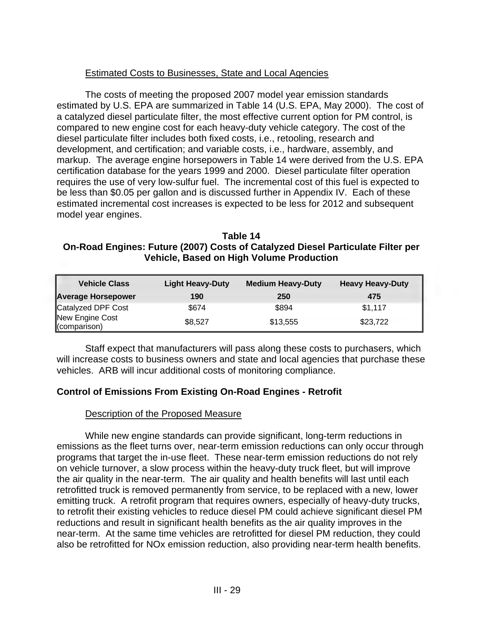# Estimated Costs to Businesses, State and Local Agencies

The costs of meeting the proposed 2007 model year emission standards estimated by U.S. EPA are summarized in Table 14 (U.S. EPA, May 2000). The cost of a catalyzed diesel particulate filter, the most effective current option for PM control, is compared to new engine cost for each heavy-duty vehicle category. The cost of the diesel particulate filter includes both fixed costs, i.e., retooling, research and development, and certification; and variable costs, i.e., hardware, assembly, and markup. The average engine horsepowers in Table 14 were derived from the U.S. EPA certification database for the years 1999 and 2000. Diesel particulate filter operation requires the use of very low-sulfur fuel. The incremental cost of this fuel is expected to be less than \$0.05 per gallon and is discussed further in Appendix IV. Each of these estimated incremental cost increases is expected to be less for 2012 and subsequent model year engines.

**Table 14 On-Road Engines: Future (2007) Costs of Catalyzed Diesel Particulate Filter per Vehicle, Based on High Volume Production** 

| <b>Vehicle Class</b>            | <b>Light Heavy-Duty</b> | <b>Medium Heavy-Duty</b> | <b>Heavy Heavy-Duty</b> |
|---------------------------------|-------------------------|--------------------------|-------------------------|
| Average Horsepower              | 190                     | 250                      | 475                     |
| Catalyzed DPF Cost              | \$674                   | \$894                    | \$1,117                 |
| New Engine Cost<br>(comparison) | \$8,527                 | \$13,555                 | \$23,722                |

Staff expect that manufacturers will pass along these costs to purchasers, which will increase costs to business owners and state and local agencies that purchase these vehicles. ARB will incur additional costs of monitoring compliance.

# **Control of Emissions From Existing On-Road Engines - Retrofit**

#### Description of the Proposed Measure

While new engine standards can provide significant, long-term reductions in emissions as the fleet turns over, near-term emission reductions can only occur through programs that target the in-use fleet. These near-term emission reductions do not rely on vehicle turnover, a slow process within the heavy-duty truck fleet, but will improve the air quality in the near-term. The air quality and health benefits will last until each retrofitted truck is removed permanently from service, to be replaced with a new, lower emitting truck. A retrofit program that requires owners, especially of heavy-duty trucks, to retrofit their existing vehicles to reduce diesel PM could achieve significant diesel PM reductions and result in significant health benefits as the air quality improves in the near-term. At the same time vehicles are retrofitted for diesel PM reduction, they could also be retrofitted for NOx emission reduction, also providing near-term health benefits.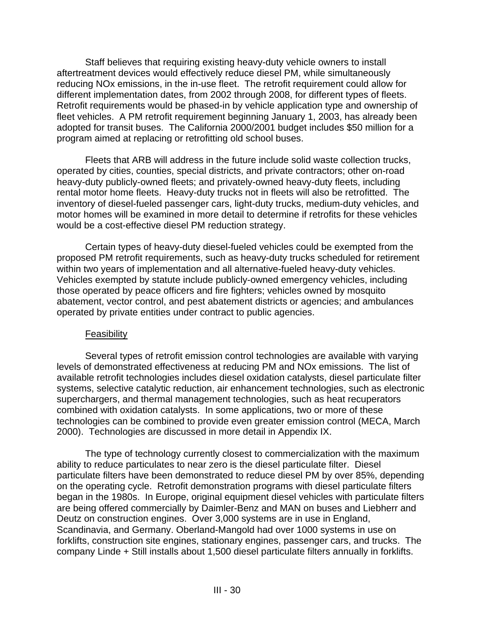Staff believes that requiring existing heavy-duty vehicle owners to install aftertreatment devices would effectively reduce diesel PM, while simultaneously reducing NOx emissions, in the in-use fleet. The retrofit requirement could allow for different implementation dates, from 2002 through 2008, for different types of fleets. Retrofit requirements would be phased-in by vehicle application type and ownership of fleet vehicles. A PM retrofit requirement beginning January 1, 2003, has already been adopted for transit buses. The California 2000/2001 budget includes \$50 million for a program aimed at replacing or retrofitting old school buses.

Fleets that ARB will address in the future include solid waste collection trucks, operated by cities, counties, special districts, and private contractors; other on-road heavy-duty publicly-owned fleets; and privately-owned heavy-duty fleets, including rental motor home fleets. Heavy-duty trucks not in fleets will also be retrofitted. The inventory of diesel-fueled passenger cars, light-duty trucks, medium-duty vehicles, and motor homes will be examined in more detail to determine if retrofits for these vehicles would be a cost-effective diesel PM reduction strategy.

Certain types of heavy-duty diesel-fueled vehicles could be exempted from the proposed PM retrofit requirements, such as heavy-duty trucks scheduled for retirement within two years of implementation and all alternative-fueled heavy-duty vehicles. Vehicles exempted by statute include publicly-owned emergency vehicles, including those operated by peace officers and fire fighters; vehicles owned by mosquito abatement, vector control, and pest abatement districts or agencies; and ambulances operated by private entities under contract to public agencies.

#### Feasibility

Several types of retrofit emission control technologies are available with varying levels of demonstrated effectiveness at reducing PM and NOx emissions. The list of available retrofit technologies includes diesel oxidation catalysts, diesel particulate filter systems, selective catalytic reduction, air enhancement technologies, such as electronic superchargers, and thermal management technologies, such as heat recuperators combined with oxidation catalysts. In some applications, two or more of these technologies can be combined to provide even greater emission control (MECA, March 2000). Technologies are discussed in more detail in Appendix IX.

The type of technology currently closest to commercialization with the maximum ability to reduce particulates to near zero is the diesel particulate filter. Diesel particulate filters have been demonstrated to reduce diesel PM by over 85%, depending on the operating cycle. Retrofit demonstration programs with diesel particulate filters began in the 1980s. In Europe, original equipment diesel vehicles with particulate filters are being offered commercially by Daimler-Benz and MAN on buses and Liebherr and Deutz on construction engines. Over 3,000 systems are in use in England, Scandinavia, and Germany. Oberland-Mangold had over 1000 systems in use on forklifts, construction site engines, stationary engines, passenger cars, and trucks. The company Linde + Still installs about 1,500 diesel particulate filters annually in forklifts.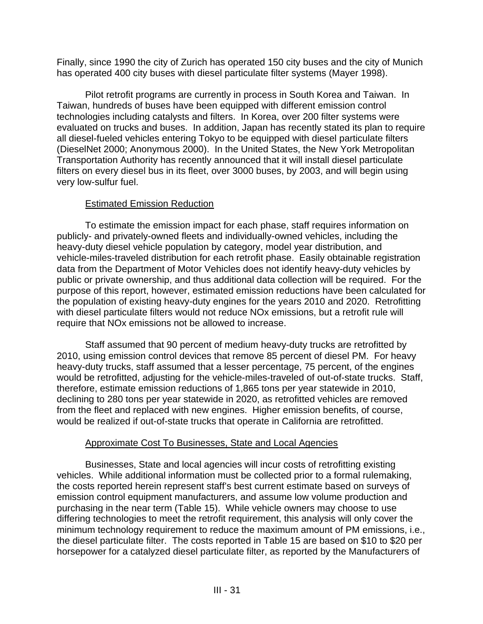Finally, since 1990 the city of Zurich has operated 150 city buses and the city of Munich has operated 400 city buses with diesel particulate filter systems (Mayer 1998).

Pilot retrofit programs are currently in process in South Korea and Taiwan. In Taiwan, hundreds of buses have been equipped with different emission control technologies including catalysts and filters. In Korea, over 200 filter systems were evaluated on trucks and buses. In addition, Japan has recently stated its plan to require all diesel-fueled vehicles entering Tokyo to be equipped with diesel particulate filters (DieselNet 2000; Anonymous 2000). In the United States, the New York Metropolitan Transportation Authority has recently announced that it will install diesel particulate filters on every diesel bus in its fleet, over 3000 buses, by 2003, and will begin using very low-sulfur fuel.

# Estimated Emission Reduction

To estimate the emission impact for each phase, staff requires information on publicly- and privately-owned fleets and individually-owned vehicles, including the heavy-duty diesel vehicle population by category, model year distribution, and vehicle-miles-traveled distribution for each retrofit phase. Easily obtainable registration data from the Department of Motor Vehicles does not identify heavy-duty vehicles by public or private ownership, and thus additional data collection will be required. For the purpose of this report, however, estimated emission reductions have been calculated for the population of existing heavy-duty engines for the years 2010 and 2020. Retrofitting with diesel particulate filters would not reduce NOx emissions, but a retrofit rule will require that NOx emissions not be allowed to increase.

Staff assumed that 90 percent of medium heavy-duty trucks are retrofitted by 2010, using emission control devices that remove 85 percent of diesel PM. For heavy heavy-duty trucks, staff assumed that a lesser percentage, 75 percent, of the engines would be retrofitted, adjusting for the vehicle-miles-traveled of out-of-state trucks. Staff, therefore, estimate emission reductions of 1,865 tons per year statewide in 2010, declining to 280 tons per year statewide in 2020, as retrofitted vehicles are removed from the fleet and replaced with new engines. Higher emission benefits, of course, would be realized if out-of-state trucks that operate in California are retrofitted.

# Approximate Cost To Businesses, State and Local Agencies

Businesses, State and local agencies will incur costs of retrofitting existing vehicles. While additional information must be collected prior to a formal rulemaking, the costs reported herein represent staff's best current estimate based on surveys of emission control equipment manufacturers, and assume low volume production and purchasing in the near term (Table 15). While vehicle owners may choose to use differing technologies to meet the retrofit requirement, this analysis will only cover the minimum technology requirement to reduce the maximum amount of PM emissions, i.e., the diesel particulate filter. The costs reported in Table 15 are based on \$10 to \$20 per horsepower for a catalyzed diesel particulate filter, as reported by the Manufacturers of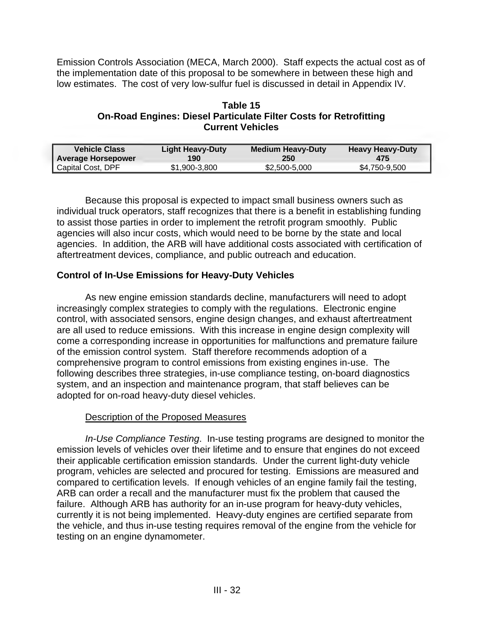Emission Controls Association (MECA, March 2000). Staff expects the actual cost as of the implementation date of this proposal to be somewhere in between these high and low estimates. The cost of very low-sulfur fuel is discussed in detail in Appendix IV.

#### **Table 15 On-Road Engines: Diesel Particulate Filter Costs for Retrofitting Current Vehicles**

| Vehicle Class             | <b>Light Heavy-Duty</b> | Medium Heavy-Duty | <b>Heavy Heavy-Duty</b> |
|---------------------------|-------------------------|-------------------|-------------------------|
| <b>Average Horsepower</b> | 190                     | 250               | 475                     |
| Capital Cost, DPF         | \$1,900-3,800           | \$2,500-5,000     | \$4,750-9,500           |

Because this proposal is expected to impact small business owners such as individual truck operators, staff recognizes that there is a benefit in establishing funding to assist those parties in order to implement the retrofit program smoothly. Public agencies will also incur costs, which would need to be borne by the state and local agencies. In addition, the ARB will have additional costs associated with certification of aftertreatment devices, compliance, and public outreach and education.

# **Control of In-Use Emissions for Heavy-Duty Vehicles**

As new engine emission standards decline, manufacturers will need to adopt increasingly complex strategies to comply with the regulations. Electronic engine control, with associated sensors, engine design changes, and exhaust aftertreatment are all used to reduce emissions. With this increase in engine design complexity will come a corresponding increase in opportunities for malfunctions and premature failure of the emission control system. Staff therefore recommends adoption of a comprehensive program to control emissions from existing engines in-use. The following describes three strategies, in-use compliance testing, on-board diagnostics system, and an inspection and maintenance program, that staff believes can be adopted for on-road heavy-duty diesel vehicles.

# Description of the Proposed Measures

*In-Use Compliance Testing*. In-use testing programs are designed to monitor the emission levels of vehicles over their lifetime and to ensure that engines do not exceed their applicable certification emission standards. Under the current light-duty vehicle program, vehicles are selected and procured for testing. Emissions are measured and compared to certification levels. If enough vehicles of an engine family fail the testing, ARB can order a recall and the manufacturer must fix the problem that caused the failure. Although ARB has authority for an in-use program for heavy-duty vehicles, currently it is not being implemented. Heavy-duty engines are certified separate from the vehicle, and thus in-use testing requires removal of the engine from the vehicle for testing on an engine dynamometer.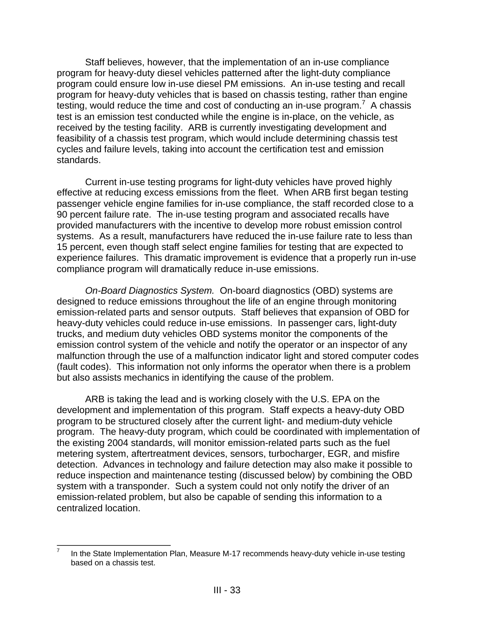Staff believes, however, that the implementation of an in-use compliance program for heavy-duty diesel vehicles patterned after the light-duty compliance program could ensure low in-use diesel PM emissions. An in-use testing and recall program for heavy-duty vehicles that is based on chassis testing, rather than engine testing, would reduce the time and cost of conducting an in-use program.<sup>7</sup> A chassis test is an emission test conducted while the engine is in-place, on the vehicle, as received by the testing facility. ARB is currently investigating development and feasibility of a chassis test program, which would include determining chassis test cycles and failure levels, taking into account the certification test and emission standards.

Current in-use testing programs for light-duty vehicles have proved highly effective at reducing excess emissions from the fleet. When ARB first began testing passenger vehicle engine families for in-use compliance, the staff recorded close to a 90 percent failure rate. The in-use testing program and associated recalls have provided manufacturers with the incentive to develop more robust emission control systems. As a result, manufacturers have reduced the in-use failure rate to less than 15 percent, even though staff select engine families for testing that are expected to experience failures. This dramatic improvement is evidence that a properly run in-use compliance program will dramatically reduce in-use emissions.

*On-Board Diagnostics System.* On-board diagnostics (OBD) systems are designed to reduce emissions throughout the life of an engine through monitoring emission-related parts and sensor outputs. Staff believes that expansion of OBD for heavy-duty vehicles could reduce in-use emissions. In passenger cars, light-duty trucks, and medium duty vehicles OBD systems monitor the components of the emission control system of the vehicle and notify the operator or an inspector of any malfunction through the use of a malfunction indicator light and stored computer codes (fault codes). This information not only informs the operator when there is a problem but also assists mechanics in identifying the cause of the problem.

ARB is taking the lead and is working closely with the U.S. EPA on the development and implementation of this program. Staff expects a heavy-duty OBD program to be structured closely after the current light- and medium-duty vehicle program. The heavy-duty program, which could be coordinated with implementation of the existing 2004 standards, will monitor emission-related parts such as the fuel metering system, aftertreatment devices, sensors, turbocharger, EGR, and misfire detection. Advances in technology and failure detection may also make it possible to reduce inspection and maintenance testing (discussed below) by combining the OBD system with a transponder. Such a system could not only notify the driver of an emission-related problem, but also be capable of sending this information to a centralized location.

 7 In the State Implementation Plan, Measure M-17 recommends heavy-duty vehicle in-use testing based on a chassis test.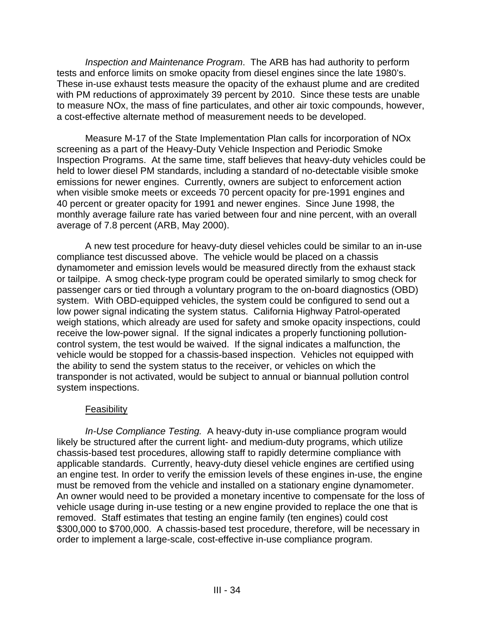*Inspection and Maintenance Program*. The ARB has had authority to perform tests and enforce limits on smoke opacity from diesel engines since the late 1980's. These in-use exhaust tests measure the opacity of the exhaust plume and are credited with PM reductions of approximately 39 percent by 2010. Since these tests are unable to measure NOx, the mass of fine particulates, and other air toxic compounds, however, a cost-effective alternate method of measurement needs to be developed.

Measure M-17 of the State Implementation Plan calls for incorporation of NOx screening as a part of the Heavy-Duty Vehicle Inspection and Periodic Smoke Inspection Programs. At the same time, staff believes that heavy-duty vehicles could be held to lower diesel PM standards, including a standard of no-detectable visible smoke emissions for newer engines. Currently, owners are subject to enforcement action when visible smoke meets or exceeds 70 percent opacity for pre-1991 engines and 40 percent or greater opacity for 1991 and newer engines. Since June 1998, the monthly average failure rate has varied between four and nine percent, with an overall average of 7.8 percent (ARB, May 2000).

A new test procedure for heavy-duty diesel vehicles could be similar to an in-use compliance test discussed above. The vehicle would be placed on a chassis dynamometer and emission levels would be measured directly from the exhaust stack or tailpipe. A smog check-type program could be operated similarly to smog check for passenger cars or tied through a voluntary program to the on-board diagnostics (OBD) system. With OBD-equipped vehicles, the system could be configured to send out a low power signal indicating the system status. California Highway Patrol-operated weigh stations, which already are used for safety and smoke opacity inspections, could receive the low-power signal. If the signal indicates a properly functioning pollutioncontrol system, the test would be waived. If the signal indicates a malfunction, the vehicle would be stopped for a chassis-based inspection. Vehicles not equipped with the ability to send the system status to the receiver, or vehicles on which the transponder is not activated, would be subject to annual or biannual pollution control system inspections.

# Feasibility

*In-Use Compliance Testing.* A heavy-duty in-use compliance program would likely be structured after the current light- and medium-duty programs, which utilize chassis-based test procedures, allowing staff to rapidly determine compliance with applicable standards. Currently, heavy-duty diesel vehicle engines are certified using an engine test. In order to verify the emission levels of these engines in-use, the engine must be removed from the vehicle and installed on a stationary engine dynamometer. An owner would need to be provided a monetary incentive to compensate for the loss of vehicle usage during in-use testing or a new engine provided to replace the one that is removed. Staff estimates that testing an engine family (ten engines) could cost \$300,000 to \$700,000. A chassis-based test procedure, therefore, will be necessary in order to implement a large-scale, cost-effective in-use compliance program.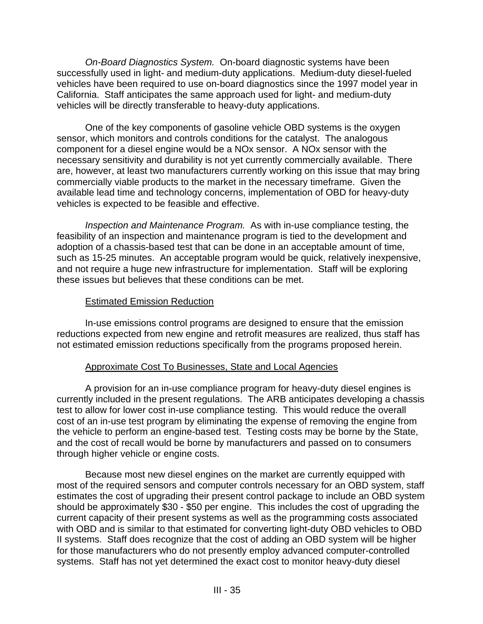*On-Board Diagnostics System.* On-board diagnostic systems have been successfully used in light- and medium-duty applications. Medium-duty diesel-fueled vehicles have been required to use on-board diagnostics since the 1997 model year in California. Staff anticipates the same approach used for light- and medium-duty vehicles will be directly transferable to heavy-duty applications.

One of the key components of gasoline vehicle OBD systems is the oxygen sensor, which monitors and controls conditions for the catalyst. The analogous component for a diesel engine would be a NOx sensor. A NOx sensor with the necessary sensitivity and durability is not yet currently commercially available. There are, however, at least two manufacturers currently working on this issue that may bring commercially viable products to the market in the necessary timeframe. Given the available lead time and technology concerns, implementation of OBD for heavy-duty vehicles is expected to be feasible and effective.

*Inspection and Maintenance Program.* As with in-use compliance testing, the feasibility of an inspection and maintenance program is tied to the development and adoption of a chassis-based test that can be done in an acceptable amount of time, such as 15-25 minutes. An acceptable program would be quick, relatively inexpensive, and not require a huge new infrastructure for implementation. Staff will be exploring these issues but believes that these conditions can be met.

#### **Estimated Emission Reduction**

In-use emissions control programs are designed to ensure that the emission reductions expected from new engine and retrofit measures are realized, thus staff has not estimated emission reductions specifically from the programs proposed herein.

#### Approximate Cost To Businesses, State and Local Agencies

 the vehicle to perform an engine-based test. Testing costs may be borne by the State, A provision for an in-use compliance program for heavy-duty diesel engines is currently included in the present regulations. The ARB anticipates developing a chassis test to allow for lower cost in-use compliance testing. This would reduce the overall cost of an in-use test program by eliminating the expense of removing the engine from and the cost of recall would be borne by manufacturers and passed on to consumers through higher vehicle or engine costs.

Because most new diesel engines on the market are currently equipped with most of the required sensors and computer controls necessary for an OBD system, staff estimates the cost of upgrading their present control package to include an OBD system should be approximately \$30 - \$50 per engine. This includes the cost of upgrading the current capacity of their present systems as well as the programming costs associated with OBD and is similar to that estimated for converting light-duty OBD vehicles to OBD II systems. Staff does recognize that the cost of adding an OBD system will be higher for those manufacturers who do not presently employ advanced computer-controlled systems. Staff has not yet determined the exact cost to monitor heavy-duty diesel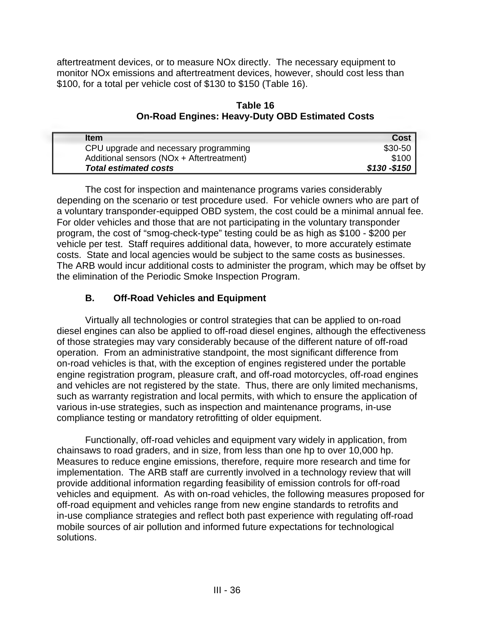aftertreatment devices, or to measure NOx directly. The necessary equipment to monitor NOx emissions and aftertreatment devices, however, should cost less than \$100, for a total per vehicle cost of \$130 to \$150 (Table 16).

**Table 16 On-Road Engines: Heavy-Duty OBD Estimated Costs** 

| <b>Item</b>                               | <b>Cost</b>  |
|-------------------------------------------|--------------|
| CPU upgrade and necessary programming     | $$30-50$     |
| Additional sensors (NOx + Aftertreatment) | \$100        |
| <b>Total estimated costs</b>              | \$130 -\$150 |

The cost for inspection and maintenance programs varies considerably depending on the scenario or test procedure used. For vehicle owners who are part of a voluntary transponder-equipped OBD system, the cost could be a minimal annual fee. For older vehicles and those that are not participating in the voluntary transponder program, the cost of "smog-check-type" testing could be as high as \$100 - \$200 per vehicle per test. Staff requires additional data, however, to more accurately estimate costs. State and local agencies would be subject to the same costs as businesses. The ARB would incur additional costs to administer the program, which may be offset by the elimination of the Periodic Smoke Inspection Program.

# **B. Off-Road Vehicles and Equipment**

Virtually all technologies or control strategies that can be applied to on-road diesel engines can also be applied to off-road diesel engines, although the effectiveness of those strategies may vary considerably because of the different nature of off-road operation. From an administrative standpoint, the most significant difference from on-road vehicles is that, with the exception of engines registered under the portable engine registration program, pleasure craft, and off-road motorcycles, off-road engines and vehicles are not registered by the state. Thus, there are only limited mechanisms, such as warranty registration and local permits, with which to ensure the application of various in-use strategies, such as inspection and maintenance programs, in-use compliance testing or mandatory retrofitting of older equipment.

Functionally, off-road vehicles and equipment vary widely in application, from chainsaws to road graders, and in size, from less than one hp to over 10,000 hp. Measures to reduce engine emissions, therefore, require more research and time for implementation. The ARB staff are currently involved in a technology review that will provide additional information regarding feasibility of emission controls for off-road vehicles and equipment. As with on-road vehicles, the following measures proposed for off-road equipment and vehicles range from new engine standards to retrofits and in-use compliance strategies and reflect both past experience with regulating off-road mobile sources of air pollution and informed future expectations for technological solutions.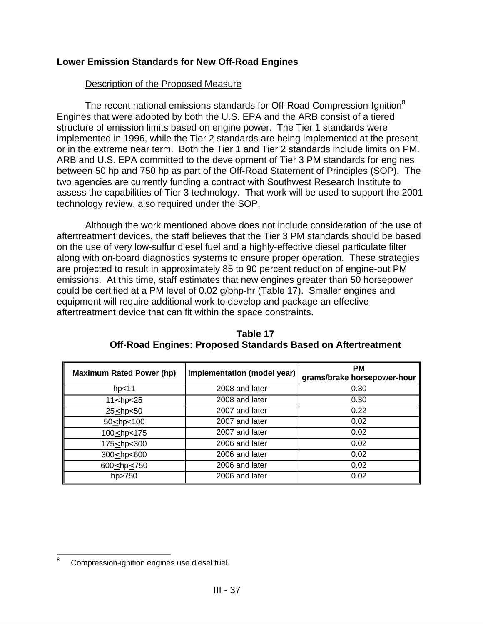# **Lower Emission Standards for New Off-Road Engines**

#### Description of the Proposed Measure

The recent national emissions standards for Off-Road Compression-Ignition ${}^{8}$ Engines that were adopted by both the U.S. EPA and the ARB consist of a tiered structure of emission limits based on engine power. The Tier 1 standards were implemented in 1996, while the Tier 2 standards are being implemented at the present or in the extreme near term. Both the Tier 1 and Tier 2 standards include limits on PM. ARB and U.S. EPA committed to the development of Tier 3 PM standards for engines between 50 hp and 750 hp as part of the Off-Road Statement of Principles (SOP). The two agencies are currently funding a contract with Southwest Research Institute to assess the capabilities of Tier 3 technology. That work will be used to support the 2001 technology review, also required under the SOP.

Although the work mentioned above does not include consideration of the use of aftertreatment devices, the staff believes that the Tier 3 PM standards should be based on the use of very low-sulfur diesel fuel and a highly-effective diesel particulate filter along with on-board diagnostics systems to ensure proper operation. These strategies are projected to result in approximately 85 to 90 percent reduction of engine-out PM emissions. At this time, staff estimates that new engines greater than 50 horsepower could be certified at a PM level of 0.02 g/bhp-hr (Table 17). Smaller engines and equipment will require additional work to develop and package an effective aftertreatment device that can fit within the space constraints.

| <b>Maximum Rated Power (hp)</b>                                   | Implementation (model year) | <b>PM</b><br>grams/brake horsepower-hour |
|-------------------------------------------------------------------|-----------------------------|------------------------------------------|
| hp <sub>11</sub>                                                  | 2008 and later              | 0.30                                     |
| $11 \le hp < 25$                                                  | 2008 and later              | 0.30                                     |
| $25<$ hp<50                                                       | 2007 and later              | 0.22                                     |
| $50 \le hp < 100$                                                 | 2007 and later              | 0.02                                     |
| 100 <hp<175< td=""><td>2007 and later</td><td>0.02</td></hp<175<> | 2007 and later              | 0.02                                     |
| 175 <hp<300< td=""><td>2006 and later</td><td>0.02</td></hp<300<> | 2006 and later              | 0.02                                     |
| 300 <hp<600< td=""><td>2006 and later</td><td>0.02</td></hp<600<> | 2006 and later              | 0.02                                     |
| 600 <hp<750< td=""><td>2006 and later</td><td>0.02</td></hp<750<> | 2006 and later              | 0.02                                     |
| hp>750                                                            | 2006 and later              | 0.02                                     |

#### **Table 17 Off-Road Engines: Proposed Standards Based on Aftertreatment**

 $\frac{1}{8}$ Compression-ignition engines use diesel fuel.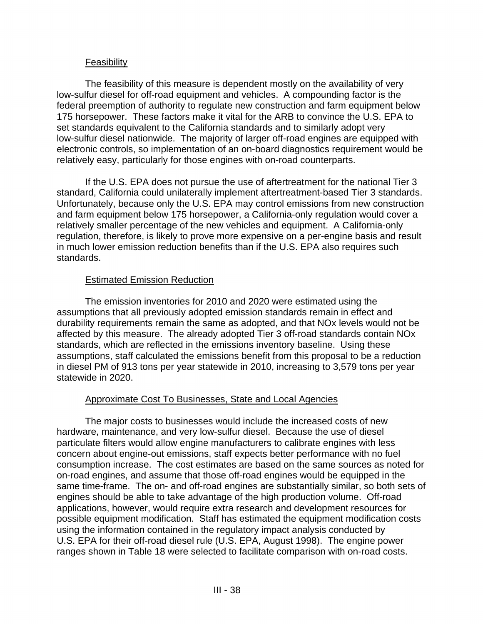#### **Feasibility**

The feasibility of this measure is dependent mostly on the availability of very low-sulfur diesel for off-road equipment and vehicles. A compounding factor is the federal preemption of authority to regulate new construction and farm equipment below 175 horsepower. These factors make it vital for the ARB to convince the U.S. EPA to set standards equivalent to the California standards and to similarly adopt very low-sulfur diesel nationwide. The majority of larger off-road engines are equipped with electronic controls, so implementation of an on-board diagnostics requirement would be relatively easy, particularly for those engines with on-road counterparts.

If the U.S. EPA does not pursue the use of aftertreatment for the national Tier 3 standard, California could unilaterally implement aftertreatment-based Tier 3 standards. Unfortunately, because only the U.S. EPA may control emissions from new construction and farm equipment below 175 horsepower, a California-only regulation would cover a relatively smaller percentage of the new vehicles and equipment. A California-only regulation, therefore, is likely to prove more expensive on a per-engine basis and result in much lower emission reduction benefits than if the U.S. EPA also requires such standards.

#### Estimated Emission Reduction

The emission inventories for 2010 and 2020 were estimated using the assumptions that all previously adopted emission standards remain in effect and durability requirements remain the same as adopted, and that NOx levels would not be affected by this measure. The already adopted Tier 3 off-road standards contain NOx standards, which are reflected in the emissions inventory baseline. Using these assumptions, staff calculated the emissions benefit from this proposal to be a reduction in diesel PM of 913 tons per year statewide in 2010, increasing to 3,579 tons per year statewide in 2020.

# Approximate Cost To Businesses, State and Local Agencies

The major costs to businesses would include the increased costs of new hardware, maintenance, and very low-sulfur diesel. Because the use of diesel particulate filters would allow engine manufacturers to calibrate engines with less concern about engine-out emissions, staff expects better performance with no fuel consumption increase. The cost estimates are based on the same sources as noted for on-road engines, and assume that those off-road engines would be equipped in the same time-frame. The on- and off-road engines are substantially similar, so both sets of engines should be able to take advantage of the high production volume. Off-road applications, however, would require extra research and development resources for possible equipment modification. Staff has estimated the equipment modification costs using the information contained in the regulatory impact analysis conducted by U.S. EPA for their off-road diesel rule (U.S. EPA, August 1998). The engine power ranges shown in Table 18 were selected to facilitate comparison with on-road costs.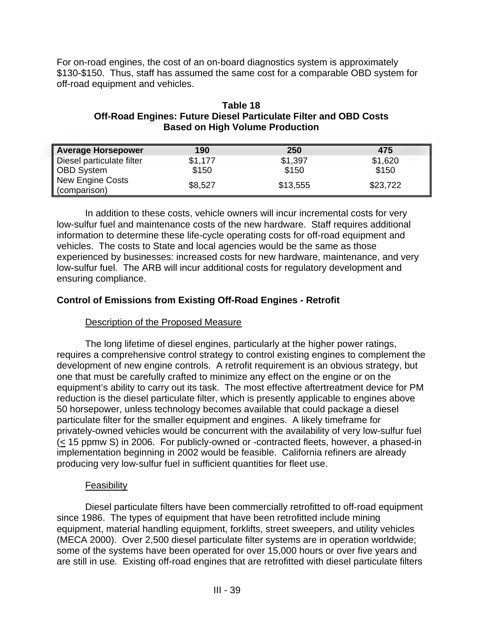For on-road engines, the cost of an on-board diagnostics system is approximately \$130-\$150. Thus, staff has assumed the same cost for a comparable OBD system for off-road equipment and vehicles.

#### **Table 18 Off-Road Engines: Future Diesel Particulate Filter and OBD Costs Based on High Volume Production**

| <b>Average Horsepower</b>               | 190     | 250      | 475      |
|-----------------------------------------|---------|----------|----------|
| Diesel particulate filter               | \$1,177 | \$1,397  | \$1,620  |
| <b>OBD System</b>                       | \$150   | \$150    | \$150    |
| <b>New Engine Costs</b><br>(comparison) | \$8,527 | \$13,555 | \$23,722 |

In addition to these costs, vehicle owners will incur incremental costs for very low-sulfur fuel and maintenance costs of the new hardware. Staff requires additional information to determine these life-cycle operating costs for off-road equipment and vehicles. The costs to State and local agencies would be the same as those experienced by businesses: increased costs for new hardware, maintenance, and very low-sulfur fuel. The ARB will incur additional costs for regulatory development and ensuring compliance.

# **Control of Emissions from Existing Off-Road Engines - Retrofit**

# Description of the Proposed Measure

The long lifetime of diesel engines, particularly at the higher power ratings, requires a comprehensive control strategy to control existing engines to complement the development of new engine controls. A retrofit requirement is an obvious strategy, but one that must be carefully crafted to minimize any effect on the engine or on the equipment's ability to carry out its task. The most effective aftertreatment device for PM reduction is the diesel particulate filter, which is presently applicable to engines above 50 horsepower, unless technology becomes available that could package a diesel particulate filter for the smaller equipment and engines. A likely timeframe for privately-owned vehicles would be concurrent with the availability of very low-sulfur fuel (< 15 ppmw S) in 2006. For publicly-owned or -contracted fleets, however, a phased-in implementation beginning in 2002 would be feasible. California refiners are already producing very low-sulfur fuel in sufficient quantities for fleet use.

#### Feasibility

Diesel particulate filters have been commercially retrofitted to off-road equipment since 1986. The types of equipment that have been retrofitted include mining equipment, material handling equipment, forklifts, street sweepers, and utility vehicles (MECA 2000). Over 2,500 diesel particulate filter systems are in operation worldwide; some of the systems have been operated for over 15,000 hours or over five years and are still in use*.* Existing off-road engines that are retrofitted with diesel particulate filters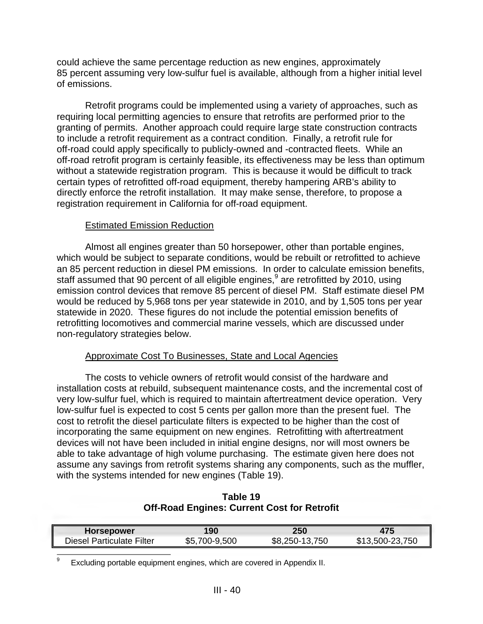could achieve the same percentage reduction as new engines, approximately 85 percent assuming very low-sulfur fuel is available, although from a higher initial level of emissions.

Retrofit programs could be implemented using a variety of approaches, such as requiring local permitting agencies to ensure that retrofits are performed prior to the granting of permits. Another approach could require large state construction contracts to include a retrofit requirement as a contract condition. Finally, a retrofit rule for off-road could apply specifically to publicly-owned and -contracted fleets. While an off-road retrofit program is certainly feasible, its effectiveness may be less than optimum without a statewide registration program. This is because it would be difficult to track certain types of retrofitted off-road equipment, thereby hampering ARB's ability to directly enforce the retrofit installation. It may make sense, therefore, to propose a registration requirement in California for off-road equipment.

#### Estimated Emission Reduction

Almost all engines greater than 50 horsepower, other than portable engines, which would be subject to separate conditions, would be rebuilt or retrofitted to achieve an 85 percent reduction in diesel PM emissions. In order to calculate emission benefits, staff assumed that 90 percent of all eligible engines, $9$  are retrofitted by 2010, using emission control devices that remove 85 percent of diesel PM. Staff estimate diesel PM would be reduced by 5,968 tons per year statewide in 2010, and by 1,505 tons per year statewide in 2020. These figures do not include the potential emission benefits of retrofitting locomotives and commercial marine vessels, which are discussed under non-regulatory strategies below.

# Approximate Cost To Businesses, State and Local Agencies

The costs to vehicle owners of retrofit would consist of the hardware and installation costs at rebuild, subsequent maintenance costs, and the incremental cost of very low-sulfur fuel, which is required to maintain aftertreatment device operation. Very low-sulfur fuel is expected to cost 5 cents per gallon more than the present fuel. The cost to retrofit the diesel particulate filters is expected to be higher than the cost of incorporating the same equipment on new engines. Retrofitting with aftertreatment devices will not have been included in initial engine designs, nor will most owners be able to take advantage of high volume purchasing. The estimate given here does not assume any savings from retrofit systems sharing any components, such as the muffler, with the systems intended for new engines (Table 19).

**Table 19 Off-Road Engines: Current Cost for Retrofit** 

| <b>Horsepower</b>         | 190           | 250            | 475             |
|---------------------------|---------------|----------------|-----------------|
| Diesel Particulate Filter | \$5,700-9,500 | \$8,250-13,750 | \$13,500-23,750 |

 $\overline{\phantom{a}}$ Excluding portable equipment engines, which are covered in Appendix II. 9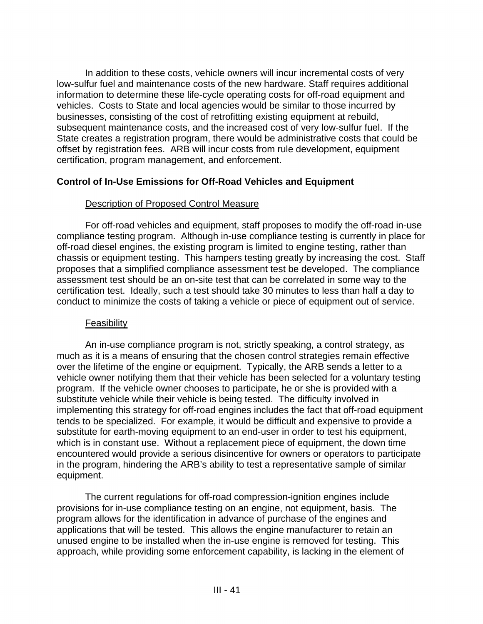In addition to these costs, vehicle owners will incur incremental costs of very low-sulfur fuel and maintenance costs of the new hardware. Staff requires additional information to determine these life-cycle operating costs for off-road equipment and vehicles. Costs to State and local agencies would be similar to those incurred by businesses, consisting of the cost of retrofitting existing equipment at rebuild, subsequent maintenance costs, and the increased cost of very low-sulfur fuel. If the State creates a registration program, there would be administrative costs that could be offset by registration fees. ARB will incur costs from rule development, equipment certification, program management, and enforcement.

# **Control of In-Use Emissions for Off-Road Vehicles and Equipment**

#### Description of Proposed Control Measure

For off-road vehicles and equipment, staff proposes to modify the off-road in-use compliance testing program. Although in-use compliance testing is currently in place for off-road diesel engines, the existing program is limited to engine testing, rather than chassis or equipment testing. This hampers testing greatly by increasing the cost. Staff proposes that a simplified compliance assessment test be developed. The compliance assessment test should be an on-site test that can be correlated in some way to the certification test. Ideally, such a test should take 30 minutes to less than half a day to conduct to minimize the costs of taking a vehicle or piece of equipment out of service.

#### Feasibility

An in-use compliance program is not, strictly speaking, a control strategy, as much as it is a means of ensuring that the chosen control strategies remain effective over the lifetime of the engine or equipment. Typically, the ARB sends a letter to a vehicle owner notifying them that their vehicle has been selected for a voluntary testing program. If the vehicle owner chooses to participate, he or she is provided with a substitute vehicle while their vehicle is being tested. The difficulty involved in implementing this strategy for off-road engines includes the fact that off-road equipment tends to be specialized. For example, it would be difficult and expensive to provide a substitute for earth-moving equipment to an end-user in order to test his equipment, which is in constant use. Without a replacement piece of equipment, the down time encountered would provide a serious disincentive for owners or operators to participate in the program, hindering the ARB's ability to test a representative sample of similar equipment.

The current regulations for off-road compression-ignition engines include provisions for in-use compliance testing on an engine, not equipment, basis. The program allows for the identification in advance of purchase of the engines and applications that will be tested. This allows the engine manufacturer to retain an unused engine to be installed when the in-use engine is removed for testing. This approach, while providing some enforcement capability, is lacking in the element of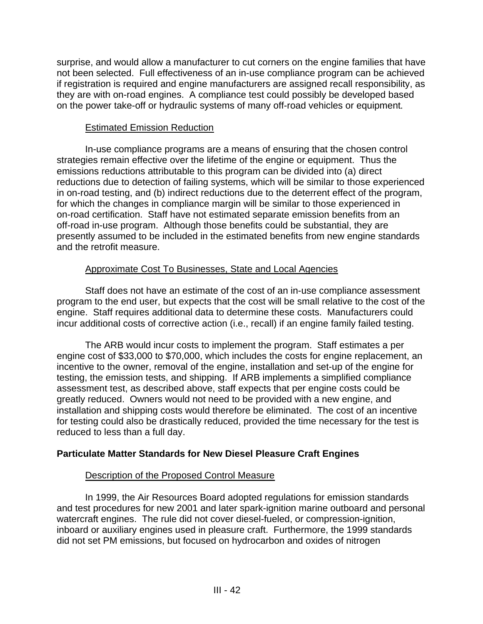surprise, and would allow a manufacturer to cut corners on the engine families that have not been selected. Full effectiveness of an in-use compliance program can be achieved if registration is required and engine manufacturers are assigned recall responsibility, as they are with on-road engines. A compliance test could possibly be developed based on the power take-off or hydraulic systems of many off-road vehicles or equipment*.* 

# Estimated Emission Reduction

 on-road certification. Staff have not estimated separate emission benefits from an In-use compliance programs are a means of ensuring that the chosen control strategies remain effective over the lifetime of the engine or equipment. Thus the emissions reductions attributable to this program can be divided into (a) direct reductions due to detection of failing systems, which will be similar to those experienced in on-road testing, and (b) indirect reductions due to the deterrent effect of the program, for which the changes in compliance margin will be similar to those experienced in off-road in-use program. Although those benefits could be substantial, they are presently assumed to be included in the estimated benefits from new engine standards and the retrofit measure.

# Approximate Cost To Businesses, State and Local Agencies

Staff does not have an estimate of the cost of an in-use compliance assessment program to the end user, but expects that the cost will be small relative to the cost of the engine. Staff requires additional data to determine these costs. Manufacturers could incur additional costs of corrective action (i.e., recall) if an engine family failed testing.

The ARB would incur costs to implement the program. Staff estimates a per engine cost of \$33,000 to \$70,000, which includes the costs for engine replacement, an incentive to the owner, removal of the engine, installation and set-up of the engine for testing, the emission tests, and shipping. If ARB implements a simplified compliance assessment test, as described above, staff expects that per engine costs could be greatly reduced. Owners would not need to be provided with a new engine, and installation and shipping costs would therefore be eliminated. The cost of an incentive for testing could also be drastically reduced, provided the time necessary for the test is reduced to less than a full day.

# **Particulate Matter Standards for New Diesel Pleasure Craft Engines**

# Description of the Proposed Control Measure

In 1999, the Air Resources Board adopted regulations for emission standards and test procedures for new 2001 and later spark-ignition marine outboard and personal watercraft engines. The rule did not cover diesel-fueled, or compression-ignition, inboard or auxiliary engines used in pleasure craft. Furthermore, the 1999 standards did not set PM emissions, but focused on hydrocarbon and oxides of nitrogen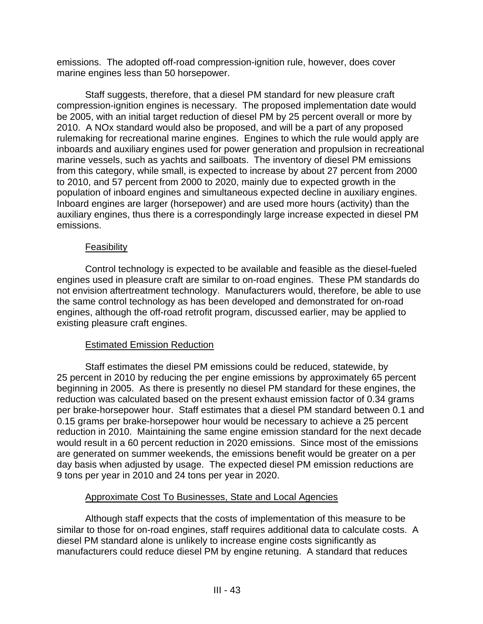emissions. The adopted off-road compression-ignition rule, however, does cover marine engines less than 50 horsepower.

Staff suggests, therefore, that a diesel PM standard for new pleasure craft compression-ignition engines is necessary. The proposed implementation date would be 2005, with an initial target reduction of diesel PM by 25 percent overall or more by 2010. A NOx standard would also be proposed, and will be a part of any proposed rulemaking for recreational marine engines. Engines to which the rule would apply are inboards and auxiliary engines used for power generation and propulsion in recreational marine vessels, such as yachts and sailboats. The inventory of diesel PM emissions from this category, while small, is expected to increase by about 27 percent from 2000 to 2010, and 57 percent from 2000 to 2020, mainly due to expected growth in the population of inboard engines and simultaneous expected decline in auxiliary engines. Inboard engines are larger (horsepower) and are used more hours (activity) than the auxiliary engines, thus there is a correspondingly large increase expected in diesel PM emissions.

#### Feasibility

Control technology is expected to be available and feasible as the diesel-fueled engines used in pleasure craft are similar to on-road engines. These PM standards do not envision aftertreatment technology. Manufacturers would, therefore, be able to use the same control technology as has been developed and demonstrated for on-road engines, although the off-road retrofit program, discussed earlier, may be applied to existing pleasure craft engines.

# Estimated Emission Reduction

Staff estimates the diesel PM emissions could be reduced, statewide, by 25 percent in 2010 by reducing the per engine emissions by approximately 65 percent beginning in 2005. As there is presently no diesel PM standard for these engines, the reduction was calculated based on the present exhaust emission factor of 0.34 grams per brake-horsepower hour. Staff estimates that a diesel PM standard between 0.1 and 0.15 grams per brake-horsepower hour would be necessary to achieve a 25 percent reduction in 2010. Maintaining the same engine emission standard for the next decade would result in a 60 percent reduction in 2020 emissions. Since most of the emissions are generated on summer weekends, the emissions benefit would be greater on a per day basis when adjusted by usage. The expected diesel PM emission reductions are 9 tons per year in 2010 and 24 tons per year in 2020.

# Approximate Cost To Businesses, State and Local Agencies

Although staff expects that the costs of implementation of this measure to be similar to those for on-road engines, staff requires additional data to calculate costs. A diesel PM standard alone is unlikely to increase engine costs significantly as manufacturers could reduce diesel PM by engine retuning. A standard that reduces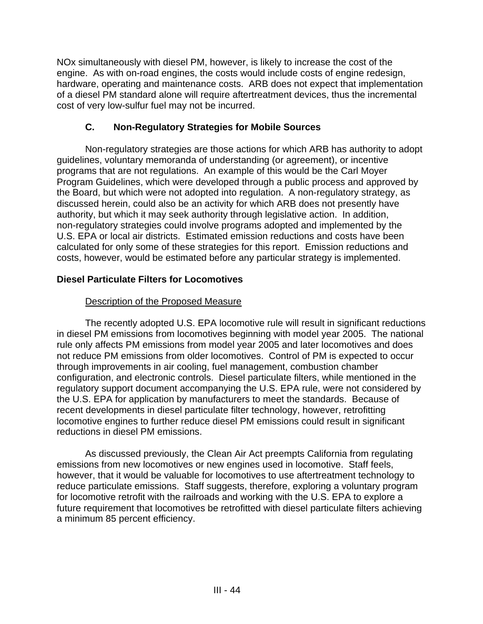NOx simultaneously with diesel PM, however, is likely to increase the cost of the engine. As with on-road engines, the costs would include costs of engine redesign, hardware, operating and maintenance costs. ARB does not expect that implementation of a diesel PM standard alone will require aftertreatment devices, thus the incremental cost of very low-sulfur fuel may not be incurred.

# **C. Non-Regulatory Strategies for Mobile Sources**

Non-regulatory strategies are those actions for which ARB has authority to adopt guidelines, voluntary memoranda of understanding (or agreement), or incentive programs that are not regulations. An example of this would be the Carl Moyer Program Guidelines, which were developed through a public process and approved by the Board, but which were not adopted into regulation. A non-regulatory strategy, as discussed herein, could also be an activity for which ARB does not presently have authority, but which it may seek authority through legislative action. In addition, non-regulatory strategies could involve programs adopted and implemented by the U.S. EPA or local air districts. Estimated emission reductions and costs have been calculated for only some of these strategies for this report. Emission reductions and costs, however, would be estimated before any particular strategy is implemented.

# **Diesel Particulate Filters for Locomotives**

# **Description of the Proposed Measure**

The recently adopted U.S. EPA locomotive rule will result in significant reductions in diesel PM emissions from locomotives beginning with model year 2005. The national rule only affects PM emissions from model year 2005 and later locomotives and does not reduce PM emissions from older locomotives. Control of PM is expected to occur through improvements in air cooling, fuel management, combustion chamber configuration, and electronic controls. Diesel particulate filters, while mentioned in the regulatory support document accompanying the U.S. EPA rule, were not considered by the U.S. EPA for application by manufacturers to meet the standards. Because of recent developments in diesel particulate filter technology, however, retrofitting locomotive engines to further reduce diesel PM emissions could result in significant reductions in diesel PM emissions.

As discussed previously, the Clean Air Act preempts California from regulating emissions from new locomotives or new engines used in locomotive. Staff feels, however, that it would be valuable for locomotives to use aftertreatment technology to reduce particulate emissions. Staff suggests, therefore, exploring a voluntary program for locomotive retrofit with the railroads and working with the U.S. EPA to explore a future requirement that locomotives be retrofitted with diesel particulate filters achieving a minimum 85 percent efficiency.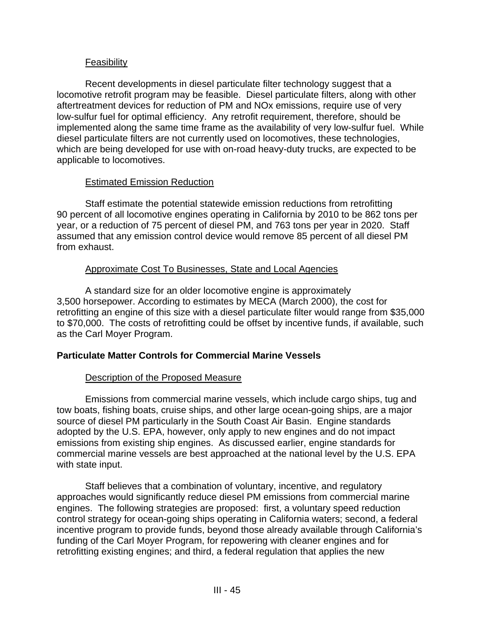# **Feasibility**

Recent developments in diesel particulate filter technology suggest that a locomotive retrofit program may be feasible. Diesel particulate filters, along with other aftertreatment devices for reduction of PM and NOx emissions, require use of very low-sulfur fuel for optimal efficiency. Any retrofit requirement, therefore, should be implemented along the same time frame as the availability of very low-sulfur fuel. While diesel particulate filters are not currently used on locomotives, these technologies, which are being developed for use with on-road heavy-duty trucks, are expected to be applicable to locomotives.

#### Estimated Emission Reduction

Staff estimate the potential statewide emission reductions from retrofitting 90 percent of all locomotive engines operating in California by 2010 to be 862 tons per year, or a reduction of 75 percent of diesel PM, and 763 tons per year in 2020. Staff assumed that any emission control device would remove 85 percent of all diesel PM from exhaust.

# Approximate Cost To Businesses, State and Local Agencies

A standard size for an older locomotive engine is approximately 3,500 horsepower. According to estimates by MECA (March 2000), the cost for retrofitting an engine of this size with a diesel particulate filter would range from \$35,000 to \$70,000. The costs of retrofitting could be offset by incentive funds, if available, such as the Carl Moyer Program.

# **Particulate Matter Controls for Commercial Marine Vessels**

#### Description of the Proposed Measure

Emissions from commercial marine vessels, which include cargo ships, tug and tow boats, fishing boats, cruise ships, and other large ocean-going ships, are a major source of diesel PM particularly in the South Coast Air Basin. Engine standards adopted by the U.S. EPA, however, only apply to new engines and do not impact emissions from existing ship engines. As discussed earlier, engine standards for commercial marine vessels are best approached at the national level by the U.S. EPA with state input.

Staff believes that a combination of voluntary, incentive, and regulatory approaches would significantly reduce diesel PM emissions from commercial marine engines. The following strategies are proposed: first, a voluntary speed reduction control strategy for ocean-going ships operating in California waters; second, a federal incentive program to provide funds, beyond those already available through California's funding of the Carl Moyer Program, for repowering with cleaner engines and for retrofitting existing engines; and third, a federal regulation that applies the new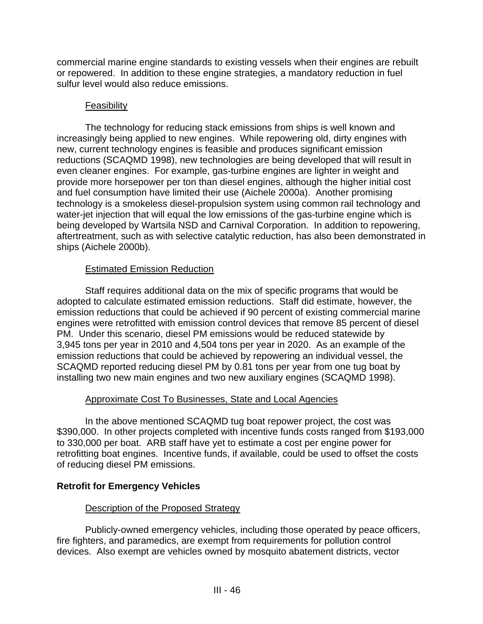commercial marine engine standards to existing vessels when their engines are rebuilt or repowered. In addition to these engine strategies, a mandatory reduction in fuel sulfur level would also reduce emissions.

#### **Feasibility**

The technology for reducing stack emissions from ships is well known and increasingly being applied to new engines. While repowering old, dirty engines with new, current technology engines is feasible and produces significant emission reductions (SCAQMD 1998), new technologies are being developed that will result in even cleaner engines. For example, gas-turbine engines are lighter in weight and provide more horsepower per ton than diesel engines, although the higher initial cost and fuel consumption have limited their use (Aichele 2000a). Another promising technology is a smokeless diesel-propulsion system using common rail technology and water-jet injection that will equal the low emissions of the gas-turbine engine which is being developed by Wartsila NSD and Carnival Corporation. In addition to repowering, aftertreatment, such as with selective catalytic reduction, has also been demonstrated in ships (Aichele 2000b).

# Estimated Emission Reduction

Staff requires additional data on the mix of specific programs that would be adopted to calculate estimated emission reductions. Staff did estimate, however, the emission reductions that could be achieved if 90 percent of existing commercial marine engines were retrofitted with emission control devices that remove 85 percent of diesel PM. Under this scenario, diesel PM emissions would be reduced statewide by 3,945 tons per year in 2010 and 4,504 tons per year in 2020. As an example of the emission reductions that could be achieved by repowering an individual vessel, the SCAQMD reported reducing diesel PM by 0.81 tons per year from one tug boat by installing two new main engines and two new auxiliary engines (SCAQMD 1998).

# Approximate Cost To Businesses, State and Local Agencies

In the above mentioned SCAQMD tug boat repower project, the cost was \$390,000. In other projects completed with incentive funds costs ranged from \$193,000 to 330,000 per boat. ARB staff have yet to estimate a cost per engine power for retrofitting boat engines. Incentive funds, if available, could be used to offset the costs of reducing diesel PM emissions.

# **Retrofit for Emergency Vehicles**

# Description of the Proposed Strategy

Publicly-owned emergency vehicles, including those operated by peace officers, fire fighters, and paramedics, are exempt from requirements for pollution control devices. Also exempt are vehicles owned by mosquito abatement districts, vector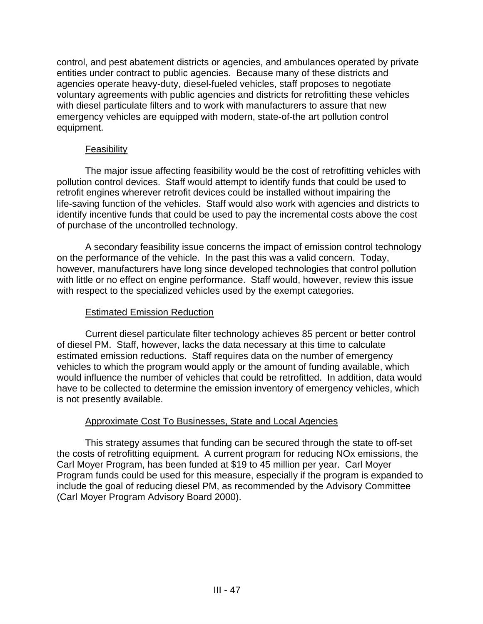control, and pest abatement districts or agencies, and ambulances operated by private entities under contract to public agencies. Because many of these districts and agencies operate heavy-duty, diesel-fueled vehicles, staff proposes to negotiate voluntary agreements with public agencies and districts for retrofitting these vehicles with diesel particulate filters and to work with manufacturers to assure that new emergency vehicles are equipped with modern, state-of-the art pollution control equipment.

# Feasibility

The major issue affecting feasibility would be the cost of retrofitting vehicles with pollution control devices. Staff would attempt to identify funds that could be used to retrofit engines wherever retrofit devices could be installed without impairing the life-saving function of the vehicles. Staff would also work with agencies and districts to identify incentive funds that could be used to pay the incremental costs above the cost of purchase of the uncontrolled technology.

A secondary feasibility issue concerns the impact of emission control technology on the performance of the vehicle. In the past this was a valid concern. Today, however, manufacturers have long since developed technologies that control pollution with little or no effect on engine performance. Staff would, however, review this issue with respect to the specialized vehicles used by the exempt categories.

#### Estimated Emission Reduction

Current diesel particulate filter technology achieves 85 percent or better control of diesel PM. Staff, however, lacks the data necessary at this time to calculate estimated emission reductions. Staff requires data on the number of emergency vehicles to which the program would apply or the amount of funding available, which would influence the number of vehicles that could be retrofitted. In addition, data would have to be collected to determine the emission inventory of emergency vehicles, which is not presently available.

# Approximate Cost To Businesses, State and Local Agencies

This strategy assumes that funding can be secured through the state to off-set the costs of retrofitting equipment. A current program for reducing NOx emissions, the Carl Moyer Program, has been funded at \$19 to 45 million per year. Carl Moyer Program funds could be used for this measure, especially if the program is expanded to include the goal of reducing diesel PM, as recommended by the Advisory Committee (Carl Moyer Program Advisory Board 2000).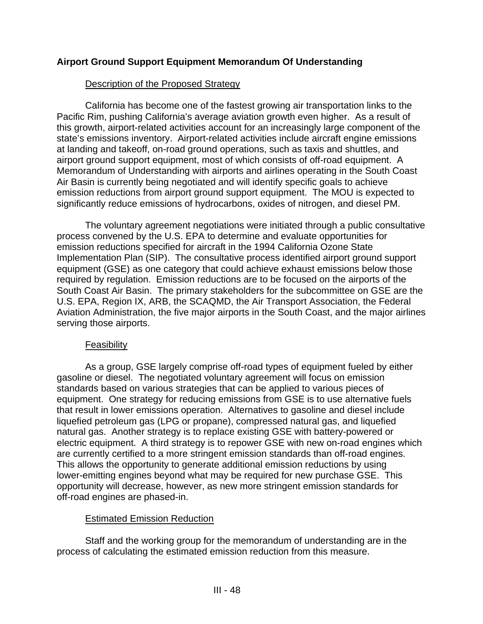# **Airport Ground Support Equipment Memorandum Of Understanding**

#### Description of the Proposed Strategy

California has become one of the fastest growing air transportation links to the Pacific Rim, pushing California's average aviation growth even higher. As a result of this growth, airport-related activities account for an increasingly large component of the state's emissions inventory. Airport-related activities include aircraft engine emissions at landing and takeoff, on-road ground operations, such as taxis and shuttles, and airport ground support equipment, most of which consists of off-road equipment. A Memorandum of Understanding with airports and airlines operating in the South Coast Air Basin is currently being negotiated and will identify specific goals to achieve emission reductions from airport ground support equipment. The MOU is expected to significantly reduce emissions of hydrocarbons, oxides of nitrogen, and diesel PM.

The voluntary agreement negotiations were initiated through a public consultative process convened by the U.S. EPA to determine and evaluate opportunities for emission reductions specified for aircraft in the 1994 California Ozone State Implementation Plan (SIP). The consultative process identified airport ground support equipment (GSE) as one category that could achieve exhaust emissions below those required by regulation. Emission reductions are to be focused on the airports of the South Coast Air Basin. The primary stakeholders for the subcommittee on GSE are the U.S. EPA, Region IX, ARB, the SCAQMD, the Air Transport Association, the Federal Aviation Administration, the five major airports in the South Coast, and the major airlines serving those airports.

#### **Feasibility**

As a group, GSE largely comprise off-road types of equipment fueled by either gasoline or diesel. The negotiated voluntary agreement will focus on emission standards based on various strategies that can be applied to various pieces of equipment. One strategy for reducing emissions from GSE is to use alternative fuels that result in lower emissions operation. Alternatives to gasoline and diesel include liquefied petroleum gas (LPG or propane), compressed natural gas, and liquefied natural gas. Another strategy is to replace existing GSE with battery-powered or electric equipment. A third strategy is to repower GSE with new on-road engines which are currently certified to a more stringent emission standards than off-road engines. This allows the opportunity to generate additional emission reductions by using lower-emitting engines beyond what may be required for new purchase GSE. This opportunity will decrease, however, as new more stringent emission standards for off-road engines are phased-in.

# Estimated Emission Reduction

Staff and the working group for the memorandum of understanding are in the process of calculating the estimated emission reduction from this measure.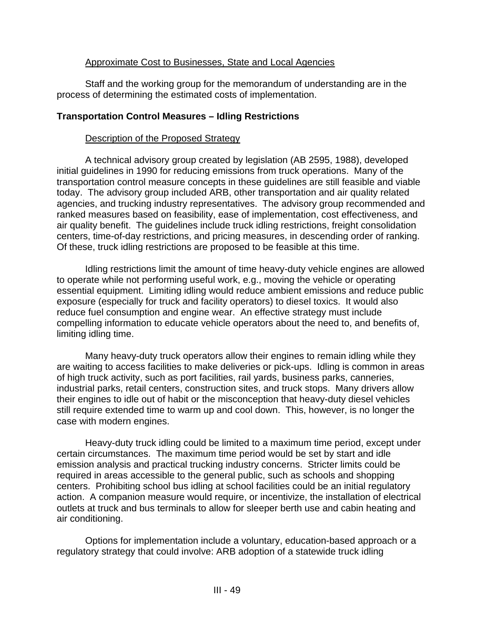#### Approximate Cost to Businesses, State and Local Agencies

Staff and the working group for the memorandum of understanding are in the process of determining the estimated costs of implementation.

#### **Transportation Control Measures – Idling Restrictions**

#### Description of the Proposed Strategy

A technical advisory group created by legislation (AB 2595, 1988), developed initial guidelines in 1990 for reducing emissions from truck operations. Many of the transportation control measure concepts in these guidelines are still feasible and viable today. The advisory group included ARB, other transportation and air quality related agencies, and trucking industry representatives. The advisory group recommended and ranked measures based on feasibility, ease of implementation, cost effectiveness, and air quality benefit. The guidelines include truck idling restrictions, freight consolidation centers, time-of-day restrictions, and pricing measures, in descending order of ranking. Of these, truck idling restrictions are proposed to be feasible at this time.

Idling restrictions limit the amount of time heavy-duty vehicle engines are allowed to operate while not performing useful work, e.g., moving the vehicle or operating essential equipment. Limiting idling would reduce ambient emissions and reduce public exposure (especially for truck and facility operators) to diesel toxics. It would also reduce fuel consumption and engine wear. An effective strategy must include compelling information to educate vehicle operators about the need to, and benefits of, limiting idling time.

Many heavy-duty truck operators allow their engines to remain idling while they are waiting to access facilities to make deliveries or pick-ups. Idling is common in areas of high truck activity, such as port facilities, rail yards, business parks, canneries, industrial parks, retail centers, construction sites, and truck stops. Many drivers allow their engines to idle out of habit or the misconception that heavy-duty diesel vehicles still require extended time to warm up and cool down. This, however, is no longer the case with modern engines.

Heavy-duty truck idling could be limited to a maximum time period, except under certain circumstances. The maximum time period would be set by start and idle emission analysis and practical trucking industry concerns. Stricter limits could be required in areas accessible to the general public, such as schools and shopping centers. Prohibiting school bus idling at school facilities could be an initial regulatory action. A companion measure would require, or incentivize, the installation of electrical outlets at truck and bus terminals to allow for sleeper berth use and cabin heating and air conditioning.

Options for implementation include a voluntary, education-based approach or a regulatory strategy that could involve: ARB adoption of a statewide truck idling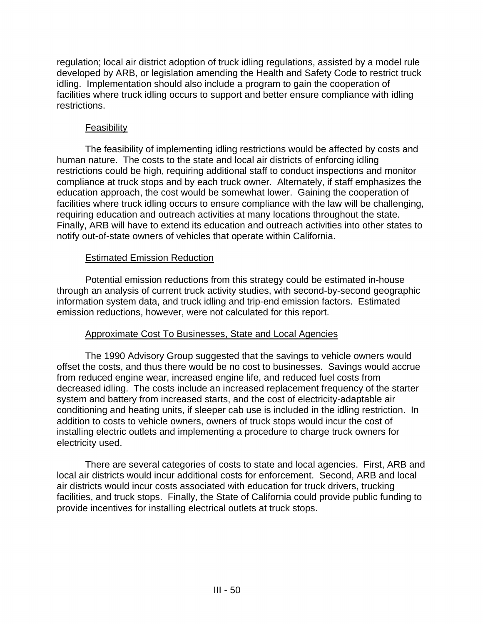regulation; local air district adoption of truck idling regulations, assisted by a model rule developed by ARB, or legislation amending the Health and Safety Code to restrict truck idling. Implementation should also include a program to gain the cooperation of facilities where truck idling occurs to support and better ensure compliance with idling restrictions.

#### Feasibility

The feasibility of implementing idling restrictions would be affected by costs and human nature. The costs to the state and local air districts of enforcing idling restrictions could be high, requiring additional staff to conduct inspections and monitor compliance at truck stops and by each truck owner. Alternately, if staff emphasizes the education approach, the cost would be somewhat lower. Gaining the cooperation of facilities where truck idling occurs to ensure compliance with the law will be challenging, requiring education and outreach activities at many locations throughout the state. Finally, ARB will have to extend its education and outreach activities into other states to notify out-of-state owners of vehicles that operate within California.

# Estimated Emission Reduction

Potential emission reductions from this strategy could be estimated in-house through an analysis of current truck activity studies, with second-by-second geographic information system data, and truck idling and trip-end emission factors. Estimated emission reductions, however, were not calculated for this report.

# Approximate Cost To Businesses, State and Local Agencies

The 1990 Advisory Group suggested that the savings to vehicle owners would offset the costs, and thus there would be no cost to businesses. Savings would accrue from reduced engine wear, increased engine life, and reduced fuel costs from decreased idling. The costs include an increased replacement frequency of the starter system and battery from increased starts, and the cost of electricity-adaptable air conditioning and heating units, if sleeper cab use is included in the idling restriction. In addition to costs to vehicle owners, owners of truck stops would incur the cost of installing electric outlets and implementing a procedure to charge truck owners for electricity used.

There are several categories of costs to state and local agencies. First, ARB and local air districts would incur additional costs for enforcement. Second, ARB and local air districts would incur costs associated with education for truck drivers, trucking facilities, and truck stops. Finally, the State of California could provide public funding to provide incentives for installing electrical outlets at truck stops.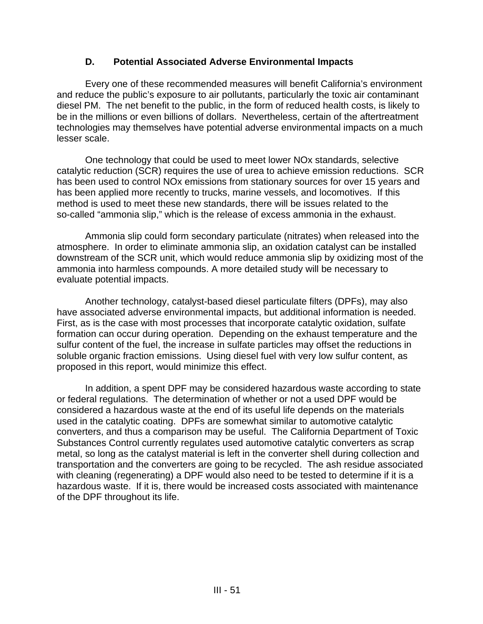# **D. Potential Associated Adverse Environmental Impacts**

Every one of these recommended measures will benefit California's environment and reduce the public's exposure to air pollutants, particularly the toxic air contaminant diesel PM. The net benefit to the public, in the form of reduced health costs, is likely to be in the millions or even billions of dollars. Nevertheless, certain of the aftertreatment technologies may themselves have potential adverse environmental impacts on a much lesser scale.

One technology that could be used to meet lower NOx standards, selective catalytic reduction (SCR) requires the use of urea to achieve emission reductions. SCR has been used to control NOx emissions from stationary sources for over 15 years and has been applied more recently to trucks, marine vessels, and locomotives. If this method is used to meet these new standards, there will be issues related to the so-called "ammonia slip," which is the release of excess ammonia in the exhaust.

Ammonia slip could form secondary particulate (nitrates) when released into the atmosphere. In order to eliminate ammonia slip, an oxidation catalyst can be installed downstream of the SCR unit, which would reduce ammonia slip by oxidizing most of the ammonia into harmless compounds. A more detailed study will be necessary to evaluate potential impacts.

Another technology, catalyst-based diesel particulate filters (DPFs), may also have associated adverse environmental impacts, but additional information is needed. First, as is the case with most processes that incorporate catalytic oxidation, sulfate formation can occur during operation. Depending on the exhaust temperature and the sulfur content of the fuel, the increase in sulfate particles may offset the reductions in soluble organic fraction emissions. Using diesel fuel with very low sulfur content, as proposed in this report, would minimize this effect.

In addition, a spent DPF may be considered hazardous waste according to state or federal regulations. The determination of whether or not a used DPF would be considered a hazardous waste at the end of its useful life depends on the materials used in the catalytic coating. DPFs are somewhat similar to automotive catalytic converters, and thus a comparison may be useful. The California Department of Toxic Substances Control currently regulates used automotive catalytic converters as scrap metal, so long as the catalyst material is left in the converter shell during collection and transportation and the converters are going to be recycled. The ash residue associated with cleaning (regenerating) a DPF would also need to be tested to determine if it is a hazardous waste. If it is, there would be increased costs associated with maintenance of the DPF throughout its life.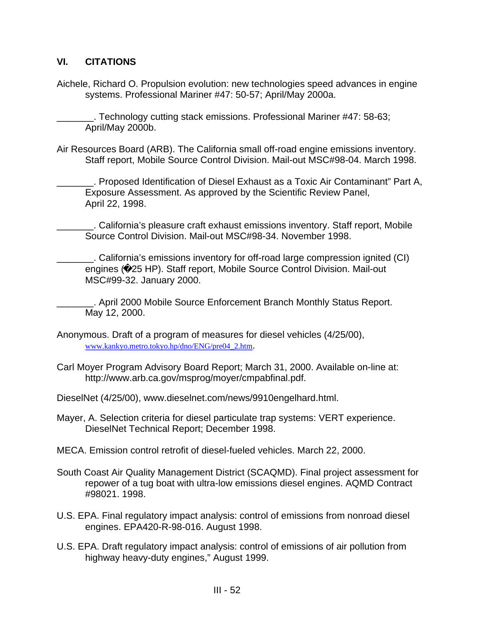# **VI. CITATIONS**

Aichele, Richard O. Propulsion evolution: new technologies speed advances in engine systems. Professional Mariner #47: 50-57; April/May 2000a.

\_\_\_\_\_\_\_. Technology cutting stack emissions. Professional Mariner #47: 58-63; April/May 2000b.

Air Resources Board (ARB). The California small off-road engine emissions inventory. Staff report, Mobile Source Control Division. Mail-out MSC#98-04. March 1998.

\_\_\_\_\_\_\_. Proposed Identification of Diesel Exhaust as a Toxic Air Contaminant" Part A, Exposure Assessment. As approved by the Scientific Review Panel, April 22, 1998.

\_\_\_\_\_\_\_. California's pleasure craft exhaust emissions inventory. Staff report, Mobile Source Control Division. Mail-out MSC#98-34. November 1998.

\_\_\_\_\_\_\_. California's emissions inventory for off-road large compression ignited (CI) engines ( 25 HP). Staff report, Mobile Source Control Division. Mail-out MSC#99-32. January 2000.

\_\_\_\_\_\_\_. April 2000 Mobile Source Enforcement Branch Monthly Status Report. May 12, 2000.

- Anonymous. Draft of a program of measures for diesel vehicles (4/25/00), [www.kankyo.metro.tokyo.hp/dno/ENG/pre04\\_2.htm](www.kankyo.metro.tokyo.hp/dno/ENG/pre04_2.htm).
- Carl Moyer Program Advisory Board Report; March 31, 2000. Available on-line at: <http://www.arb.ca.gov/msprog/moyer/cmpabfinal.pdf>.
- DieselNet (4/25/00),<www.dieselnet.com/news/9910engelhard.html>.
- Mayer, A. Selection criteria for diesel particulate trap systems: VERT experience. DieselNet Technical Report; December 1998.
- MECA. Emission control retrofit of diesel-fueled vehicles. March 22, 2000.
- South Coast Air Quality Management District (SCAQMD). Final project assessment for repower of a tug boat with ultra-low emissions diesel engines. AQMD Contract #98021. 1998.
- U.S. EPA. Final regulatory impact analysis: control of emissions from nonroad diesel engines. EPA420-R-98-016. August 1998.
- U.S. EPA. Draft regulatory impact analysis: control of emissions of air pollution from highway heavy-duty engines," August 1999.